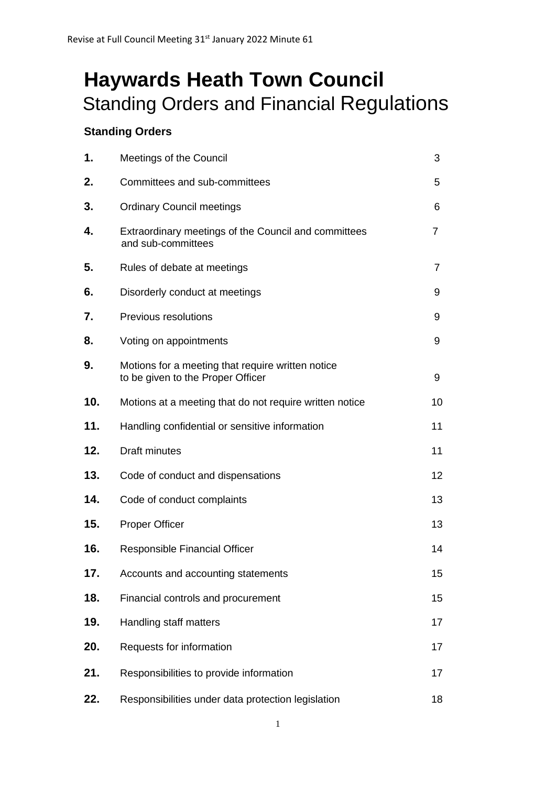# **Haywards Heath Town Council** Standing Orders and Financial Regulations

# **Standing Orders**

| 1.  | Meetings of the Council                                                                | 3  |  |
|-----|----------------------------------------------------------------------------------------|----|--|
| 2.  | Committees and sub-committees                                                          | 5  |  |
| 3.  | <b>Ordinary Council meetings</b>                                                       | 6  |  |
| 4.  | Extraordinary meetings of the Council and committees<br>and sub-committees             |    |  |
| 5.  | Rules of debate at meetings                                                            | 7  |  |
| 6.  | Disorderly conduct at meetings                                                         | 9  |  |
| 7.  | Previous resolutions                                                                   | 9  |  |
| 8.  | Voting on appointments                                                                 | 9  |  |
| 9.  | Motions for a meeting that require written notice<br>to be given to the Proper Officer | 9  |  |
| 10. | Motions at a meeting that do not require written notice                                | 10 |  |
| 11. | Handling confidential or sensitive information                                         | 11 |  |
| 12. | <b>Draft minutes</b>                                                                   | 11 |  |
| 13. | Code of conduct and dispensations                                                      | 12 |  |
| 14. | Code of conduct complaints                                                             | 13 |  |
| 15. | <b>Proper Officer</b>                                                                  | 13 |  |
| 16. | <b>Responsible Financial Officer</b>                                                   | 14 |  |
| 17. | Accounts and accounting statements                                                     | 15 |  |
| 18. | Financial controls and procurement                                                     | 15 |  |
| 19. | Handling staff matters                                                                 | 17 |  |
| 20. | Requests for information                                                               | 17 |  |
| 21. | Responsibilities to provide information                                                | 17 |  |
| 22. | Responsibilities under data protection legislation                                     | 18 |  |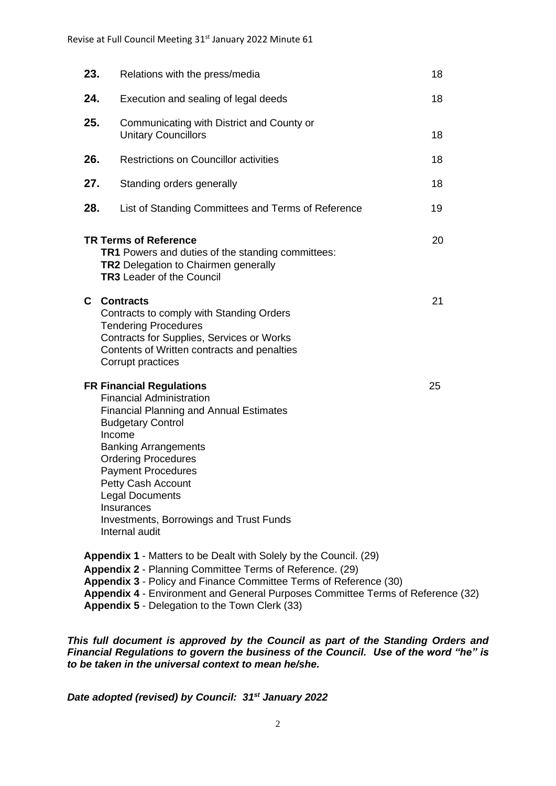| 23.                                                                                                                                                                                                                                                                                                                                                                                           | Relations with the press/media                                                                                                                                                                               | 18 |  |  |
|-----------------------------------------------------------------------------------------------------------------------------------------------------------------------------------------------------------------------------------------------------------------------------------------------------------------------------------------------------------------------------------------------|--------------------------------------------------------------------------------------------------------------------------------------------------------------------------------------------------------------|----|--|--|
| 24.                                                                                                                                                                                                                                                                                                                                                                                           | Execution and sealing of legal deeds                                                                                                                                                                         | 18 |  |  |
| 25.                                                                                                                                                                                                                                                                                                                                                                                           | Communicating with District and County or<br><b>Unitary Councillors</b>                                                                                                                                      | 18 |  |  |
| 26.                                                                                                                                                                                                                                                                                                                                                                                           | <b>Restrictions on Councillor activities</b>                                                                                                                                                                 | 18 |  |  |
| 27.                                                                                                                                                                                                                                                                                                                                                                                           | Standing orders generally                                                                                                                                                                                    | 18 |  |  |
| 28.                                                                                                                                                                                                                                                                                                                                                                                           | List of Standing Committees and Terms of Reference                                                                                                                                                           | 19 |  |  |
| <b>TR Terms of Reference</b><br>20<br><b>TR1</b> Powers and duties of the standing committees:<br><b>TR2</b> Delegation to Chairmen generally<br><b>TR3</b> Leader of the Council                                                                                                                                                                                                             |                                                                                                                                                                                                              |    |  |  |
| C.                                                                                                                                                                                                                                                                                                                                                                                            | <b>Contracts</b><br>Contracts to comply with Standing Orders<br><b>Tendering Procedures</b><br>Contracts for Supplies, Services or Works<br>Contents of Written contracts and penalties<br>Corrupt practices | 21 |  |  |
| <b>FR Financial Regulations</b><br><b>Financial Administration</b><br><b>Financial Planning and Annual Estimates</b><br><b>Budgetary Control</b><br>Income<br><b>Banking Arrangements</b><br><b>Ordering Procedures</b><br><b>Payment Procedures</b><br>Petty Cash Account<br><b>Legal Documents</b><br><b>Insurances</b><br><b>Investments, Borrowings and Trust Funds</b><br>Internal audit |                                                                                                                                                                                                              | 25 |  |  |
| <b>Appendix 1 - Matters to be Dealt with Solely by the Council. (29)</b><br>Appendix 2 - Planning Committee Terms of Reference. (29)<br>Appendix 3 - Policy and Finance Committee Terms of Reference (30)                                                                                                                                                                                     |                                                                                                                                                                                                              |    |  |  |

**Appendix 4** - Environment and General Purposes Committee Terms of Reference (32)

**Appendix 5** - Delegation to the Town Clerk (33)

*This full document is approved by the Council as part of the Standing Orders and Financial Regulations to govern the business of the Council. Use of the word "he" is to be taken in the universal context to mean he/she.* 

*Date adopted (revised) by Council: 31st January 2022*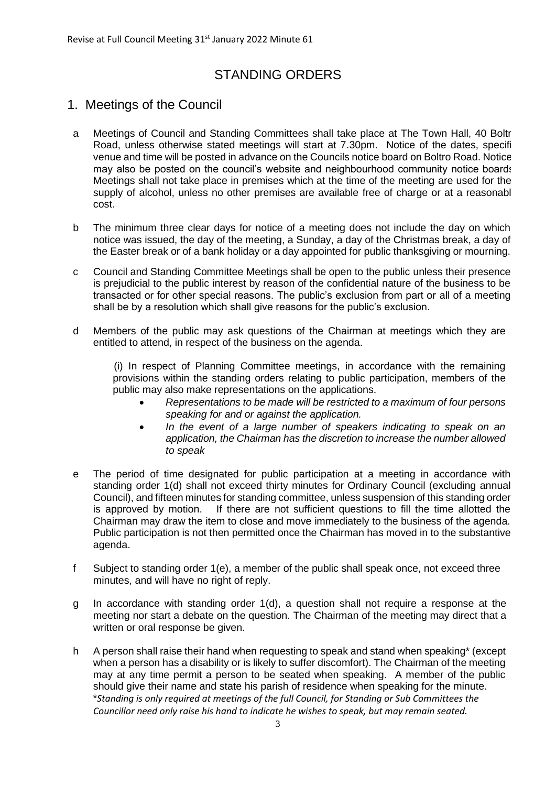# STANDING ORDERS

# 1. Meetings of the Council

- a Meetings of Council and Standing Committees shall take place at The Town Hall, 40 Boltron Road, unless otherwise stated meetings will start at 7.30pm. Notice of the dates, specifi venue and time will be posted in advance on the Councils notice board on Boltro Road. Notices may also be posted on the council's website and neighbourhood community notice boards. Meetings shall not take place in premises which at the time of the meeting are used for the supply of alcohol, unless no other premises are available free of charge or at a reasonable cost.
- b The minimum three clear days for notice of a meeting does not include the day on which notice was issued, the day of the meeting, a Sunday, a day of the Christmas break, a day of the Easter break or of a bank holiday or a day appointed for public thanksgiving or mourning.
- c Council and Standing Committee Meetings shall be open to the public unless their presence is prejudicial to the public interest by reason of the confidential nature of the business to be transacted or for other special reasons. The public's exclusion from part or all of a meeting shall be by a resolution which shall give reasons for the public's exclusion.
- d Members of the public may ask questions of the Chairman at meetings which they are entitled to attend, in respect of the business on the agenda.

(i) In respect of Planning Committee meetings, in accordance with the remaining provisions within the standing orders relating to public participation, members of the public may also make representations on the applications.

- *Representations to be made will be restricted to a maximum of four persons speaking for and or against the application.*
- *In the event of a large number of speakers indicating to speak on an application, the Chairman has the discretion to increase the number allowed to speak*
- e The period of time designated for public participation at a meeting in accordance with standing order 1(d) shall not exceed thirty minutes for Ordinary Council (excluding annual Council), and fifteen minutes for standing committee, unless suspension of this standing order is approved by motion. If there are not sufficient questions to fill the time allotted the Chairman may draw the item to close and move immediately to the business of the agenda. Public participation is not then permitted once the Chairman has moved in to the substantive agenda.
- f Subject to standing order 1(e), a member of the public shall speak once, not exceed three minutes, and will have no right of reply.
- g In accordance with standing order 1(d), a question shall not require a response at the meeting nor start a debate on the question. The Chairman of the meeting may direct that a written or oral response be given.
- h A person shall raise their hand when requesting to speak and stand when speaking\* (except when a person has a disability or is likely to suffer discomfort). The Chairman of the meeting may at any time permit a person to be seated when speaking. A member of the public should give their name and state his parish of residence when speaking for the minute. \**Standing is only required at meetings of the full Council, for Standing or Sub Committees the Councillor need only raise his hand to indicate he wishes to speak, but may remain seated.*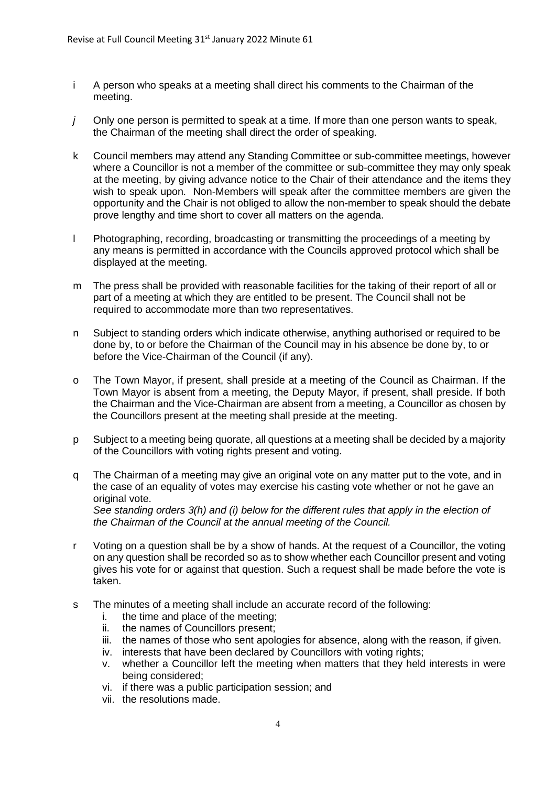- i A person who speaks at a meeting shall direct his comments to the Chairman of the meeting.
- *j* Only one person is permitted to speak at a time. If more than one person wants to speak, the Chairman of the meeting shall direct the order of speaking.
- k Council members may attend any Standing Committee or sub-committee meetings, however where a Councillor is not a member of the committee or sub-committee they may only speak at the meeting, by giving advance notice to the Chair of their attendance and the items they wish to speak upon. Non-Members will speak after the committee members are given the opportunity and the Chair is not obliged to allow the non-member to speak should the debate prove lengthy and time short to cover all matters on the agenda.
- l Photographing, recording, broadcasting or transmitting the proceedings of a meeting by any means is permitted in accordance with the Councils approved protocol which shall be displayed at the meeting.
- m The press shall be provided with reasonable facilities for the taking of their report of all or part of a meeting at which they are entitled to be present. The Council shall not be required to accommodate more than two representatives.
- n Subject to standing orders which indicate otherwise, anything authorised or required to be done by, to or before the Chairman of the Council may in his absence be done by, to or before the Vice-Chairman of the Council (if any).
- o The Town Mayor, if present, shall preside at a meeting of the Council as Chairman. If the Town Mayor is absent from a meeting, the Deputy Mayor, if present, shall preside. If both the Chairman and the Vice-Chairman are absent from a meeting, a Councillor as chosen by the Councillors present at the meeting shall preside at the meeting.
- p Subject to a meeting being quorate, all questions at a meeting shall be decided by a majority of the Councillors with voting rights present and voting.
- q The Chairman of a meeting may give an original vote on any matter put to the vote, and in the case of an equality of votes may exercise his casting vote whether or not he gave an original vote. *See standing orders 3(h) and (i) below for the different rules that apply in the election of*

*the Chairman of the Council at the annual meeting of the Council.*

- r Voting on a question shall be by a show of hands. At the request of a Councillor, the voting on any question shall be recorded so as to show whether each Councillor present and voting gives his vote for or against that question. Such a request shall be made before the vote is taken.
- s The minutes of a meeting shall include an accurate record of the following:
	- i. the time and place of the meeting;
	- ii. the names of Councillors present;
	- iii. the names of those who sent apologies for absence, along with the reason, if given.
	- iv. interests that have been declared by Councillors with voting rights;
	- v. whether a Councillor left the meeting when matters that they held interests in were being considered;
	- vi. if there was a public participation session; and
	- vii. the resolutions made.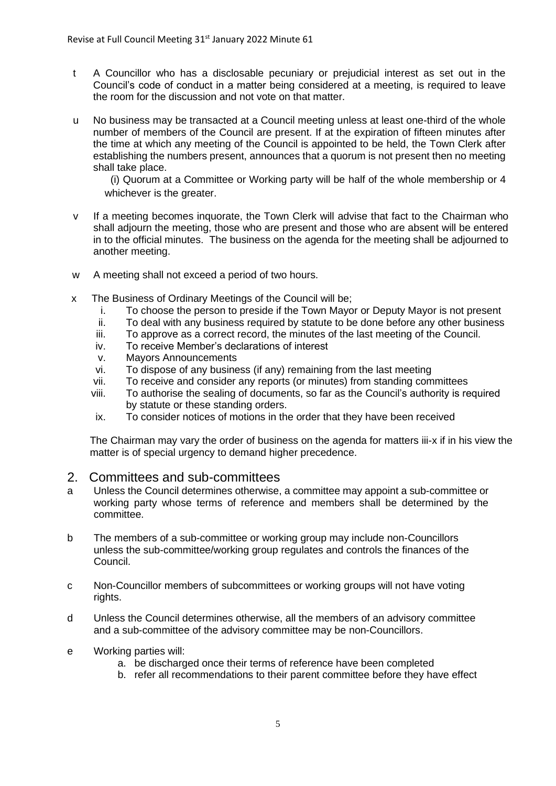- t A Councillor who has a disclosable pecuniary or prejudicial interest as set out in the Council's code of conduct in a matter being considered at a meeting, is required to leave the room for the discussion and not vote on that matter.
- u No business may be transacted at a Council meeting unless at least one-third of the whole number of members of the Council are present. If at the expiration of fifteen minutes after the time at which any meeting of the Council is appointed to be held, the Town Clerk after establishing the numbers present, announces that a quorum is not present then no meeting shall take place.

 (i) Quorum at a Committee or Working party will be half of the whole membership or 4 whichever is the greater.

- v If a meeting becomes inquorate, the Town Clerk will advise that fact to the Chairman who shall adjourn the meeting, those who are present and those who are absent will be entered in to the official minutes. The business on the agenda for the meeting shall be adjourned to another meeting.
- w A meeting shall not exceed a period of two hours.
- x The Business of Ordinary Meetings of the Council will be;
	- i. To choose the person to preside if the Town Mayor or Deputy Mayor is not present
	- ii. To deal with any business required by statute to be done before any other business
	- iii. To approve as a correct record, the minutes of the last meeting of the Council.
	- iv. To receive Member's declarations of interest
	- v. Mayors Announcements
	- vi. To dispose of any business (if any) remaining from the last meeting
	- vii. To receive and consider any reports (or minutes) from standing committees
	- viii. To authorise the sealing of documents, so far as the Council's authority is required by statute or these standing orders.
	- ix. To consider notices of motions in the order that they have been received

The Chairman may vary the order of business on the agenda for matters iii-x if in his view the matter is of special urgency to demand higher precedence.

# 2. Committees and sub-committees

- a Unless the Council determines otherwise, a committee may appoint a sub-committee or working party whose terms of reference and members shall be determined by the committee.
- b The members of a sub-committee or working group may include non-Councillors unless the sub-committee/working group regulates and controls the finances of the Council.
- c Non-Councillor members of subcommittees or working groups will not have voting rights.
- d Unless the Council determines otherwise, all the members of an advisory committee and a sub-committee of the advisory committee may be non-Councillors.
- e Working parties will:
	- a. be discharged once their terms of reference have been completed
	- b. refer all recommendations to their parent committee before they have effect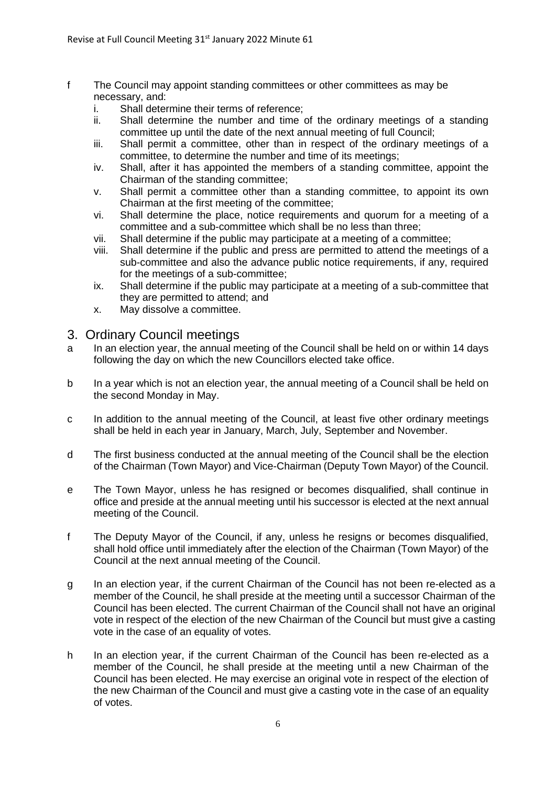- f The Council may appoint standing committees or other committees as may be necessary, and:
	- i. Shall determine their terms of reference;
	- ii. Shall determine the number and time of the ordinary meetings of a standing committee up until the date of the next annual meeting of full Council;
	- iii. Shall permit a committee, other than in respect of the ordinary meetings of a committee, to determine the number and time of its meetings;
	- iv. Shall, after it has appointed the members of a standing committee, appoint the Chairman of the standing committee;
	- v. Shall permit a committee other than a standing committee, to appoint its own Chairman at the first meeting of the committee;
	- vi. Shall determine the place, notice requirements and quorum for a meeting of a committee and a sub-committee which shall be no less than three;
	- vii. Shall determine if the public may participate at a meeting of a committee;
	- viii. Shall determine if the public and press are permitted to attend the meetings of a sub-committee and also the advance public notice requirements, if any, required for the meetings of a sub-committee;
	- ix. Shall determine if the public may participate at a meeting of a sub-committee that they are permitted to attend; and
	- x. May dissolve a committee.

# 3. Ordinary Council meetings

- a In an election year, the annual meeting of the Council shall be held on or within 14 days following the day on which the new Councillors elected take office.
- b In a year which is not an election year, the annual meeting of a Council shall be held on the second Monday in May.
- c In addition to the annual meeting of the Council, at least five other ordinary meetings shall be held in each year in January, March, July, September and November.
- d The first business conducted at the annual meeting of the Council shall be the election of the Chairman (Town Mayor) and Vice-Chairman (Deputy Town Mayor) of the Council.
- e The Town Mayor, unless he has resigned or becomes disqualified, shall continue in office and preside at the annual meeting until his successor is elected at the next annual meeting of the Council.
- f The Deputy Mayor of the Council, if any, unless he resigns or becomes disqualified, shall hold office until immediately after the election of the Chairman (Town Mayor) of the Council at the next annual meeting of the Council.
- g In an election year, if the current Chairman of the Council has not been re-elected as a member of the Council, he shall preside at the meeting until a successor Chairman of the Council has been elected. The current Chairman of the Council shall not have an original vote in respect of the election of the new Chairman of the Council but must give a casting vote in the case of an equality of votes.
- h In an election year, if the current Chairman of the Council has been re-elected as a member of the Council, he shall preside at the meeting until a new Chairman of the Council has been elected. He may exercise an original vote in respect of the election of the new Chairman of the Council and must give a casting vote in the case of an equality of votes.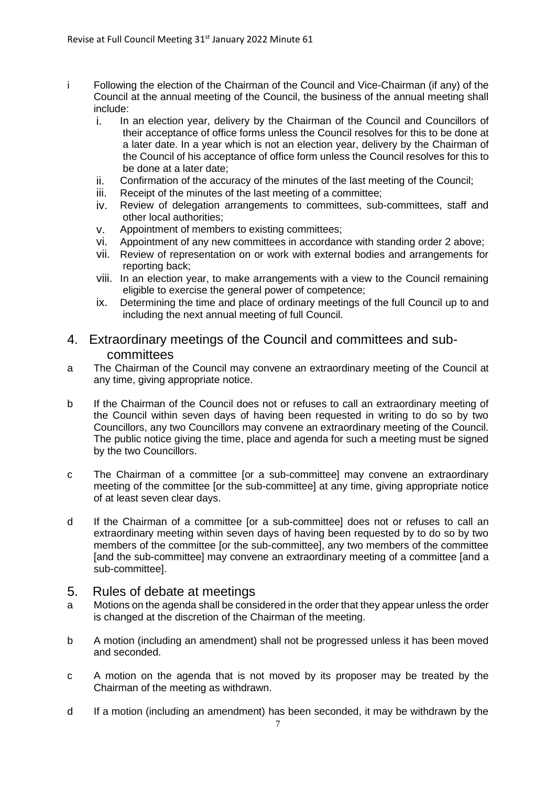- i Following the election of the Chairman of the Council and Vice-Chairman (if any) of the Council at the annual meeting of the Council, the business of the annual meeting shall include:
	- i. In an election year, delivery by the Chairman of the Council and Councillors of their acceptance of office forms unless the Council resolves for this to be done at a later date. In a year which is not an election year, delivery by the Chairman of the Council of his acceptance of office form unless the Council resolves for this to be done at a later date;
	- ii. Confirmation of the accuracy of the minutes of the last meeting of the Council;
	- iii. Receipt of the minutes of the last meeting of a committee;
	- iv. Review of delegation arrangements to committees, sub-committees, staff and other local authorities;
	- v. Appointment of members to existing committees;
	- vi. Appointment of any new committees in accordance with standing order 2 above;
	- vii. Review of representation on or work with external bodies and arrangements for reporting back;
	- viii. In an election year, to make arrangements with a view to the Council remaining eligible to exercise the general power of competence;
	- ix. Determining the time and place of ordinary meetings of the full Council up to and including the next annual meeting of full Council.

# 4. Extraordinary meetings of the Council and committees and subcommittees

- a The Chairman of the Council may convene an extraordinary meeting of the Council at any time, giving appropriate notice.
- b If the Chairman of the Council does not or refuses to call an extraordinary meeting of the Council within seven days of having been requested in writing to do so by two Councillors, any two Councillors may convene an extraordinary meeting of the Council. The public notice giving the time, place and agenda for such a meeting must be signed by the two Councillors.
- c The Chairman of a committee [or a sub-committee] may convene an extraordinary meeting of the committee [or the sub-committee] at any time, giving appropriate notice of at least seven clear days.
- d If the Chairman of a committee [or a sub-committee] does not or refuses to call an extraordinary meeting within seven days of having been requested by to do so by two members of the committee [or the sub-committee], any two members of the committee [and the sub-committee] may convene an extraordinary meeting of a committee [and a sub-committee].

# 5. Rules of debate at meetings

- a Motions on the agenda shall be considered in the order that they appear unless the order is changed at the discretion of the Chairman of the meeting.
- b A motion (including an amendment) shall not be progressed unless it has been moved and seconded.
- c A motion on the agenda that is not moved by its proposer may be treated by the Chairman of the meeting as withdrawn.
- d If a motion (including an amendment) has been seconded, it may be withdrawn by the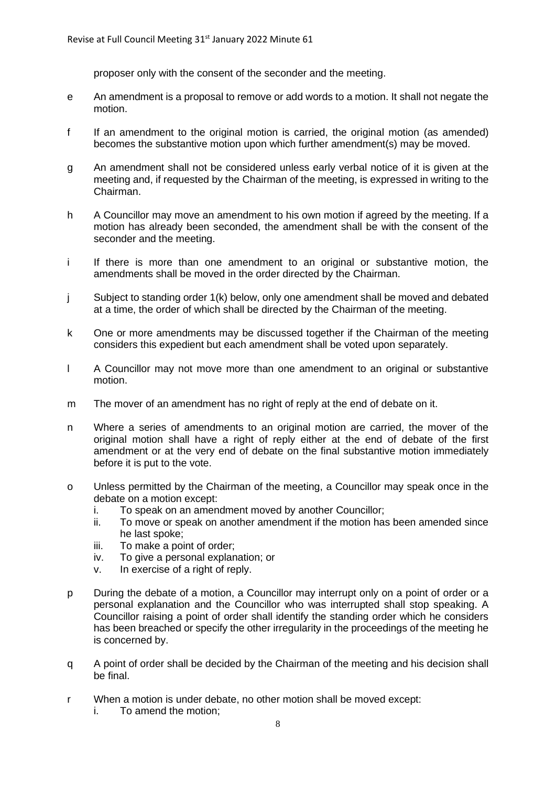proposer only with the consent of the seconder and the meeting.

- e An amendment is a proposal to remove or add words to a motion. It shall not negate the motion.
- f If an amendment to the original motion is carried, the original motion (as amended) becomes the substantive motion upon which further amendment(s) may be moved.
- g An amendment shall not be considered unless early verbal notice of it is given at the meeting and, if requested by the Chairman of the meeting, is expressed in writing to the Chairman.
- h A Councillor may move an amendment to his own motion if agreed by the meeting. If a motion has already been seconded, the amendment shall be with the consent of the seconder and the meeting.
- i If there is more than one amendment to an original or substantive motion, the amendments shall be moved in the order directed by the Chairman.
- j Subject to standing order 1(k) below, only one amendment shall be moved and debated at a time, the order of which shall be directed by the Chairman of the meeting.
- k One or more amendments may be discussed together if the Chairman of the meeting considers this expedient but each amendment shall be voted upon separately.
- l A Councillor may not move more than one amendment to an original or substantive motion.
- m The mover of an amendment has no right of reply at the end of debate on it.
- n Where a series of amendments to an original motion are carried, the mover of the original motion shall have a right of reply either at the end of debate of the first amendment or at the very end of debate on the final substantive motion immediately before it is put to the vote.
- o Unless permitted by the Chairman of the meeting, a Councillor may speak once in the debate on a motion except:
	- i. To speak on an amendment moved by another Councillor;
	- ii. To move or speak on another amendment if the motion has been amended since he last spoke;
	- iii. To make a point of order;
	- iv. To give a personal explanation; or
	- v. In exercise of a right of reply.
- p During the debate of a motion, a Councillor may interrupt only on a point of order or a personal explanation and the Councillor who was interrupted shall stop speaking. A Councillor raising a point of order shall identify the standing order which he considers has been breached or specify the other irregularity in the proceedings of the meeting he is concerned by.
- q A point of order shall be decided by the Chairman of the meeting and his decision shall be final.
- r When a motion is under debate, no other motion shall be moved except:
	- i. To amend the motion;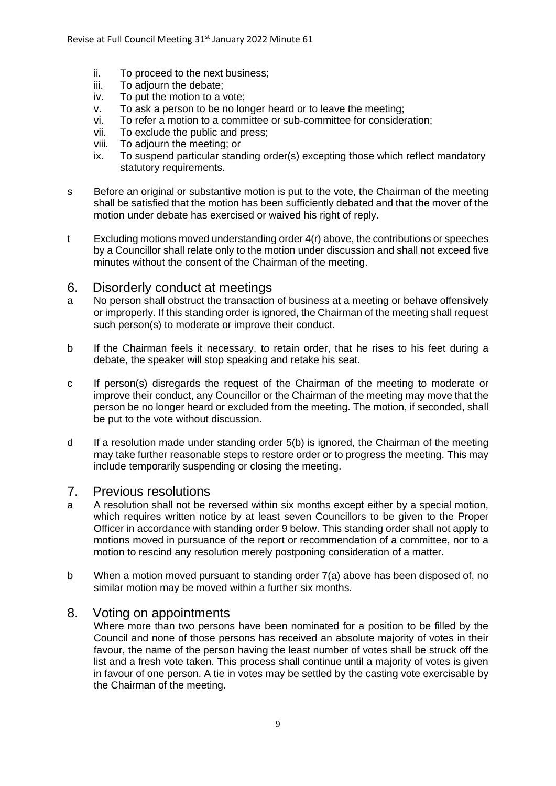- ii. To proceed to the next business;
- iii. To adjourn the debate;
- iv. To put the motion to a vote;
- v. To ask a person to be no longer heard or to leave the meeting;
- vi. To refer a motion to a committee or sub-committee for consideration;
- vii. To exclude the public and press;
- viii. To adjourn the meeting; or
- ix. To suspend particular standing order(s) excepting those which reflect mandatory statutory requirements.
- s Before an original or substantive motion is put to the vote, the Chairman of the meeting shall be satisfied that the motion has been sufficiently debated and that the mover of the motion under debate has exercised or waived his right of reply.
- t Excluding motions moved understanding order  $4(r)$  above, the contributions or speeches by a Councillor shall relate only to the motion under discussion and shall not exceed five minutes without the consent of the Chairman of the meeting.

# 6. Disorderly conduct at meetings

- a No person shall obstruct the transaction of business at a meeting or behave offensively or improperly. If this standing order is ignored, the Chairman of the meeting shall request such person(s) to moderate or improve their conduct.
- b If the Chairman feels it necessary, to retain order, that he rises to his feet during a debate, the speaker will stop speaking and retake his seat.
- c If person(s) disregards the request of the Chairman of the meeting to moderate or improve their conduct, any Councillor or the Chairman of the meeting may move that the person be no longer heard or excluded from the meeting. The motion, if seconded, shall be put to the vote without discussion.
- d If a resolution made under standing order 5(b) is ignored, the Chairman of the meeting may take further reasonable steps to restore order or to progress the meeting. This may include temporarily suspending or closing the meeting.

# 7. Previous resolutions

- a A resolution shall not be reversed within six months except either by a special motion, which requires written notice by at least seven Councillors to be given to the Proper Officer in accordance with standing order 9 below. This standing order shall not apply to motions moved in pursuance of the report or recommendation of a committee, nor to a motion to rescind any resolution merely postponing consideration of a matter.
- b When a motion moved pursuant to standing order 7(a) above has been disposed of, no similar motion may be moved within a further six months.

# 8. Voting on appointments

Where more than two persons have been nominated for a position to be filled by the Council and none of those persons has received an absolute majority of votes in their favour, the name of the person having the least number of votes shall be struck off the list and a fresh vote taken. This process shall continue until a majority of votes is given in favour of one person. A tie in votes may be settled by the casting vote exercisable by the Chairman of the meeting.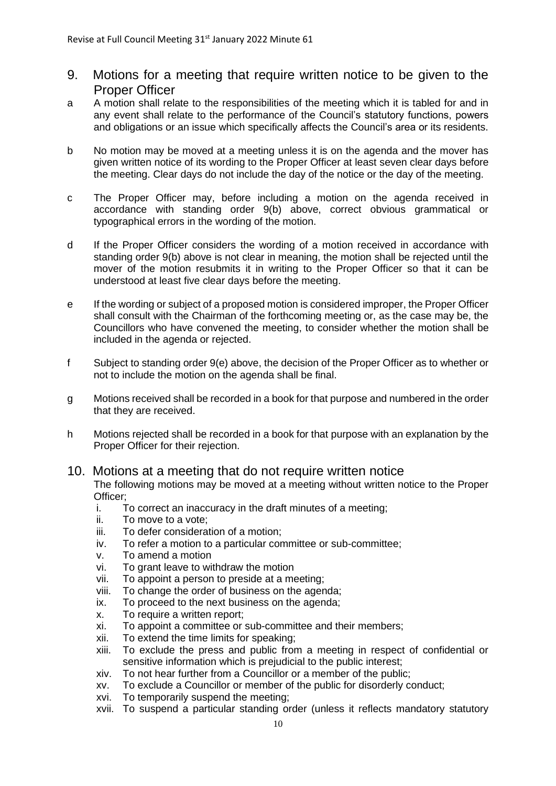- 9. Motions for a meeting that require written notice to be given to the Proper Officer
- a A motion shall relate to the responsibilities of the meeting which it is tabled for and in any event shall relate to the performance of the Council's statutory functions, powers and obligations or an issue which specifically affects the Council's area or its residents.
- b No motion may be moved at a meeting unless it is on the agenda and the mover has given written notice of its wording to the Proper Officer at least seven clear days before the meeting. Clear days do not include the day of the notice or the day of the meeting.
- c The Proper Officer may, before including a motion on the agenda received in accordance with standing order 9(b) above, correct obvious grammatical or typographical errors in the wording of the motion.
- d If the Proper Officer considers the wording of a motion received in accordance with standing order 9(b) above is not clear in meaning, the motion shall be rejected until the mover of the motion resubmits it in writing to the Proper Officer so that it can be understood at least five clear days before the meeting.
- e If the wording or subject of a proposed motion is considered improper, the Proper Officer shall consult with the Chairman of the forthcoming meeting or, as the case may be, the Councillors who have convened the meeting, to consider whether the motion shall be included in the agenda or rejected.
- f Subject to standing order 9(e) above, the decision of the Proper Officer as to whether or not to include the motion on the agenda shall be final.
- g Motions received shall be recorded in a book for that purpose and numbered in the order that they are received.
- h Motions rejected shall be recorded in a book for that purpose with an explanation by the Proper Officer for their rejection.

#### 10. Motions at a meeting that do not require written notice The following motions may be moved at a meeting without written notice to the Proper Officer;

- i. To correct an inaccuracy in the draft minutes of a meeting;
- ii. To move to a vote;
- iii. To defer consideration of a motion;
- iv. To refer a motion to a particular committee or sub-committee;
- v. To amend a motion
- vi. To grant leave to withdraw the motion
- vii. To appoint a person to preside at a meeting;
- viii. To change the order of business on the agenda;
- ix. To proceed to the next business on the agenda;
- x. To require a written report;
- xi. To appoint a committee or sub-committee and their members;
- xii. To extend the time limits for speaking;
- xiii. To exclude the press and public from a meeting in respect of confidential or sensitive information which is prejudicial to the public interest;
- xiv. To not hear further from a Councillor or a member of the public;
- xv. To exclude a Councillor or member of the public for disorderly conduct;
- xvi. To temporarily suspend the meeting;
- xvii. To suspend a particular standing order (unless it reflects mandatory statutory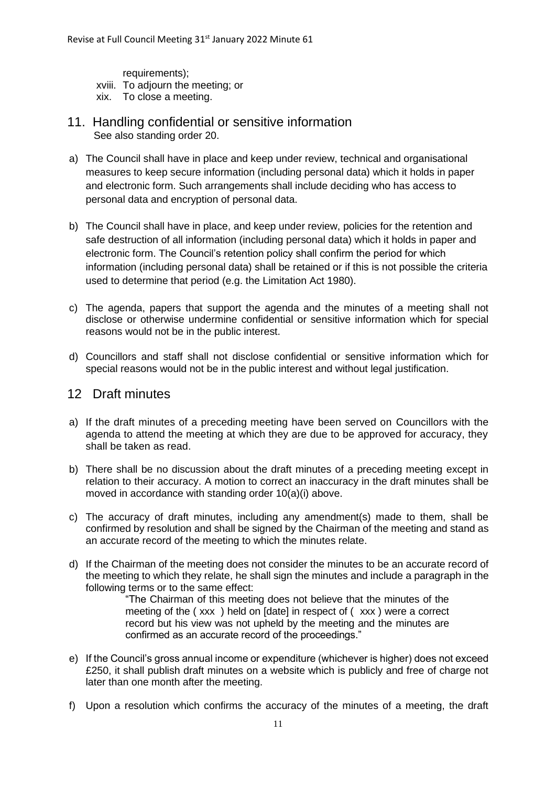requirements); xviii. To adjourn the meeting; or xix. To close a meeting.

- 11. Handling confidential or sensitive information See also standing order 20.
- a) The Council shall have in place and keep under review, technical and organisational measures to keep secure information (including personal data) which it holds in paper and electronic form. Such arrangements shall include deciding who has access to personal data and encryption of personal data.
- b) The Council shall have in place, and keep under review, policies for the retention and safe destruction of all information (including personal data) which it holds in paper and electronic form. The Council's retention policy shall confirm the period for which information (including personal data) shall be retained or if this is not possible the criteria used to determine that period (e.g. the Limitation Act 1980).
- c) The agenda, papers that support the agenda and the minutes of a meeting shall not disclose or otherwise undermine confidential or sensitive information which for special reasons would not be in the public interest.
- d) Councillors and staff shall not disclose confidential or sensitive information which for special reasons would not be in the public interest and without legal justification.

# 12 Draft minutes

- a) If the draft minutes of a preceding meeting have been served on Councillors with the agenda to attend the meeting at which they are due to be approved for accuracy, they shall be taken as read.
- b) There shall be no discussion about the draft minutes of a preceding meeting except in relation to their accuracy. A motion to correct an inaccuracy in the draft minutes shall be moved in accordance with standing order 10(a)(i) above.
- c) The accuracy of draft minutes, including any amendment(s) made to them, shall be confirmed by resolution and shall be signed by the Chairman of the meeting and stand as an accurate record of the meeting to which the minutes relate.
- d) If the Chairman of the meeting does not consider the minutes to be an accurate record of the meeting to which they relate, he shall sign the minutes and include a paragraph in the following terms or to the same effect:

"The Chairman of this meeting does not believe that the minutes of the meeting of the ( xxx ) held on [date] in respect of ( xxx ) were a correct record but his view was not upheld by the meeting and the minutes are confirmed as an accurate record of the proceedings."

- e) If the Council's gross annual income or expenditure (whichever is higher) does not exceed £250, it shall publish draft minutes on a website which is publicly and free of charge not later than one month after the meeting.
- f) Upon a resolution which confirms the accuracy of the minutes of a meeting, the draft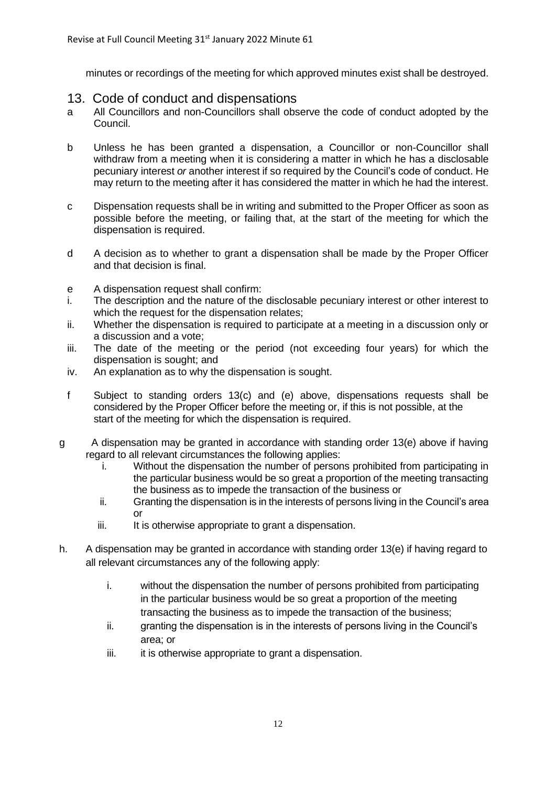minutes or recordings of the meeting for which approved minutes exist shall be destroyed.

# 13. Code of conduct and dispensations

- a All Councillors and non-Councillors shall observe the code of conduct adopted by the Council.
- b Unless he has been granted a dispensation, a Councillor or non-Councillor shall withdraw from a meeting when it is considering a matter in which he has a disclosable pecuniary interest *or* another interest if so required by the Council's code of conduct. He may return to the meeting after it has considered the matter in which he had the interest.
- c Dispensation requests shall be in writing and submitted to the Proper Officer as soon as possible before the meeting, or failing that, at the start of the meeting for which the dispensation is required.
- d A decision as to whether to grant a dispensation shall be made by the Proper Officer and that decision is final.
- e A dispensation request shall confirm:
- i. The description and the nature of the disclosable pecuniary interest or other interest to which the request for the dispensation relates;
- ii. Whether the dispensation is required to participate at a meeting in a discussion only or a discussion and a vote;
- iii. The date of the meeting or the period (not exceeding four years) for which the dispensation is sought; and
- iv. An explanation as to why the dispensation is sought.
- f Subject to standing orders 13(c) and (e) above, dispensations requests shall be considered by the Proper Officer before the meeting or, if this is not possible, at the start of the meeting for which the dispensation is required.
- g A dispensation may be granted in accordance with standing order 13(e) above if having regard to all relevant circumstances the following applies:
	- i. Without the dispensation the number of persons prohibited from participating in the particular business would be so great a proportion of the meeting transacting the business as to impede the transaction of the business or
	- ii. Granting the dispensation is in the interests of persons living in the Council's area or
	- iii. It is otherwise appropriate to grant a dispensation.
- h. A dispensation may be granted in accordance with standing order 13(e) if having regard to all relevant circumstances any of the following apply:
	- i. without the dispensation the number of persons prohibited from participating in the particular business would be so great a proportion of the meeting transacting the business as to impede the transaction of the business;
	- ii. granting the dispensation is in the interests of persons living in the Council's area; or
	- iii. it is otherwise appropriate to grant a dispensation.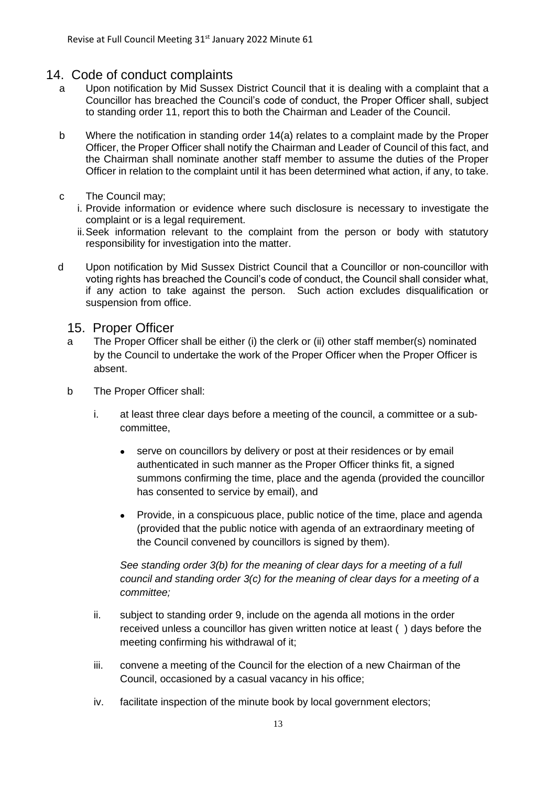# 14. Code of conduct complaints

- a Upon notification by Mid Sussex District Council that it is dealing with a complaint that a Councillor has breached the Council's code of conduct, the Proper Officer shall, subject to standing order 11, report this to both the Chairman and Leader of the Council.
- b Where the notification in standing order 14(a) relates to a complaint made by the Proper Officer, the Proper Officer shall notify the Chairman and Leader of Council of this fact, and the Chairman shall nominate another staff member to assume the duties of the Proper Officer in relation to the complaint until it has been determined what action, if any, to take.
- c The Council may;
	- i. Provide information or evidence where such disclosure is necessary to investigate the complaint or is a legal requirement.
	- ii.Seek information relevant to the complaint from the person or body with statutory responsibility for investigation into the matter.
- d Upon notification by Mid Sussex District Council that a Councillor or non-councillor with voting rights has breached the Council's code of conduct, the Council shall consider what, if any action to take against the person. Such action excludes disqualification or suspension from office.

# 15. Proper Officer

- a The Proper Officer shall be either (i) the clerk or (ii) other staff member(s) nominated by the Council to undertake the work of the Proper Officer when the Proper Officer is absent.
- b The Proper Officer shall:
	- i. at least three clear days before a meeting of the council, a committee or a subcommittee,
		- serve on councillors by delivery or post at their residences or by email authenticated in such manner as the Proper Officer thinks fit, a signed summons confirming the time, place and the agenda (provided the councillor has consented to service by email), and
		- Provide, in a conspicuous place, public notice of the time, place and agenda (provided that the public notice with agenda of an extraordinary meeting of the Council convened by councillors is signed by them).

*See standing order 3(b) for the meaning of clear days for a meeting of a full council and standing order 3(c) for the meaning of clear days for a meeting of a committee;*

- ii. subject to standing order 9, include on the agenda all motions in the order received unless a councillor has given written notice at least ( ) days before the meeting confirming his withdrawal of it;
- iii. convene a meeting of the Council for the election of a new Chairman of the Council, occasioned by a casual vacancy in his office;
- iv. facilitate inspection of the minute book by local government electors;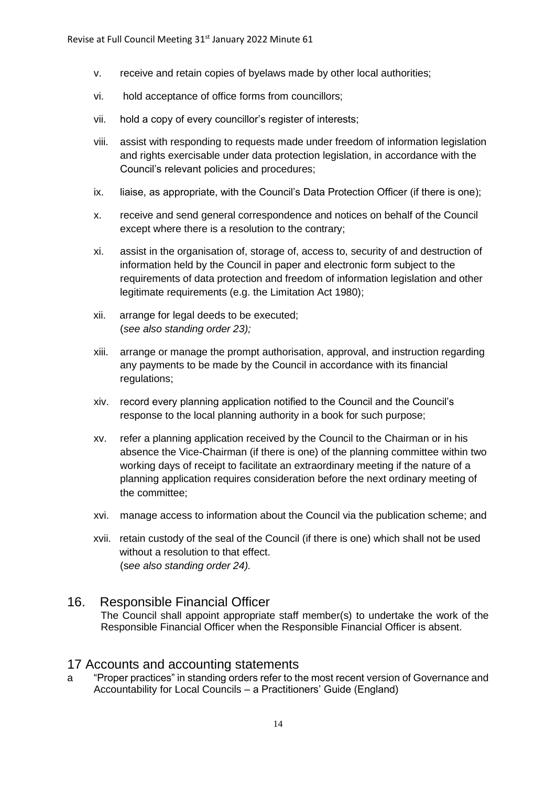- v. receive and retain copies of byelaws made by other local authorities;
- vi. hold acceptance of office forms from councillors;
- vii. hold a copy of every councillor's register of interests;
- viii. assist with responding to requests made under freedom of information legislation and rights exercisable under data protection legislation, in accordance with the Council's relevant policies and procedures;
- ix. liaise, as appropriate, with the Council's Data Protection Officer (if there is one);
- x. receive and send general correspondence and notices on behalf of the Council except where there is a resolution to the contrary;
- xi. assist in the organisation of, storage of, access to, security of and destruction of information held by the Council in paper and electronic form subject to the requirements of data protection and freedom of information legislation and other legitimate requirements (e.g. the Limitation Act 1980);
- xii. arrange for legal deeds to be executed; (*see also standing order 23);*
- xiii. arrange or manage the prompt authorisation, approval, and instruction regarding any payments to be made by the Council in accordance with its financial regulations;
- xiv. record every planning application notified to the Council and the Council's response to the local planning authority in a book for such purpose;
- xv. refer a planning application received by the Council to the Chairman or in his absence the Vice-Chairman (if there is one) of the planning committee within two working days of receipt to facilitate an extraordinary meeting if the nature of a planning application requires consideration before the next ordinary meeting of the committee;
- xvi. manage access to information about the Council via the publication scheme; and
- xvii. retain custody of the seal of the Council (if there is one) which shall not be used without a resolution to that effect. (s*ee also standing order 24).*

# 16. Responsible Financial Officer

The Council shall appoint appropriate staff member(s) to undertake the work of the Responsible Financial Officer when the Responsible Financial Officer is absent.

# 17 Accounts and accounting statements

a "Proper practices" in standing orders refer to the most recent version of Governance and Accountability for Local Councils – a Practitioners' Guide (England)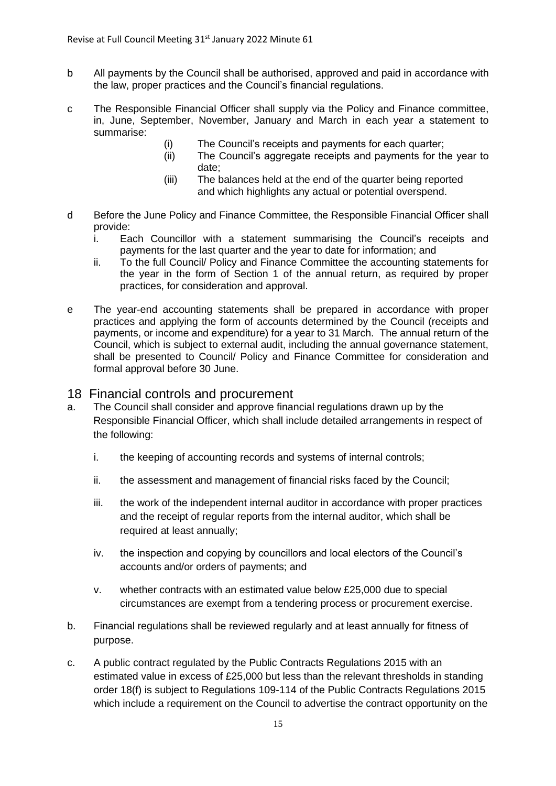- b All payments by the Council shall be authorised, approved and paid in accordance with the law, proper practices and the Council's financial regulations.
- c The Responsible Financial Officer shall supply via the Policy and Finance committee, in, June, September, November, January and March in each year a statement to summarise:
	- (i) The Council's receipts and payments for each quarter;
	- (ii) The Council's aggregate receipts and payments for the year to date;
	- (iii) The balances held at the end of the quarter being reported and which highlights any actual or potential overspend.
- d Before the June Policy and Finance Committee, the Responsible Financial Officer shall provide:
	- i. Each Councillor with a statement summarising the Council's receipts and payments for the last quarter and the year to date for information; and
	- ii. To the full Council/ Policy and Finance Committee the accounting statements for the year in the form of Section 1 of the annual return, as required by proper practices, for consideration and approval.
- e The year-end accounting statements shall be prepared in accordance with proper practices and applying the form of accounts determined by the Council (receipts and payments, or income and expenditure) for a year to 31 March. The annual return of the Council, which is subject to external audit, including the annual governance statement, shall be presented to Council/ Policy and Finance Committee for consideration and formal approval before 30 June.
- 18 Financial controls and procurement
- a. The Council shall consider and approve financial regulations drawn up by the Responsible Financial Officer, which shall include detailed arrangements in respect of the following:
	- i. the keeping of accounting records and systems of internal controls;
	- ii. the assessment and management of financial risks faced by the Council;
	- iii. the work of the independent internal auditor in accordance with proper practices and the receipt of regular reports from the internal auditor, which shall be required at least annually;
	- iv. the inspection and copying by councillors and local electors of the Council's accounts and/or orders of payments; and
	- v. whether contracts with an estimated value below £25,000 due to special circumstances are exempt from a tendering process or procurement exercise.
- b. Financial regulations shall be reviewed regularly and at least annually for fitness of purpose.
- c. A public contract regulated by the Public Contracts Regulations 2015 with an estimated value in excess of £25,000 but less than the relevant thresholds in standing order 18(f) is subject to Regulations 109-114 of the Public Contracts Regulations 2015 which include a requirement on the Council to advertise the contract opportunity on the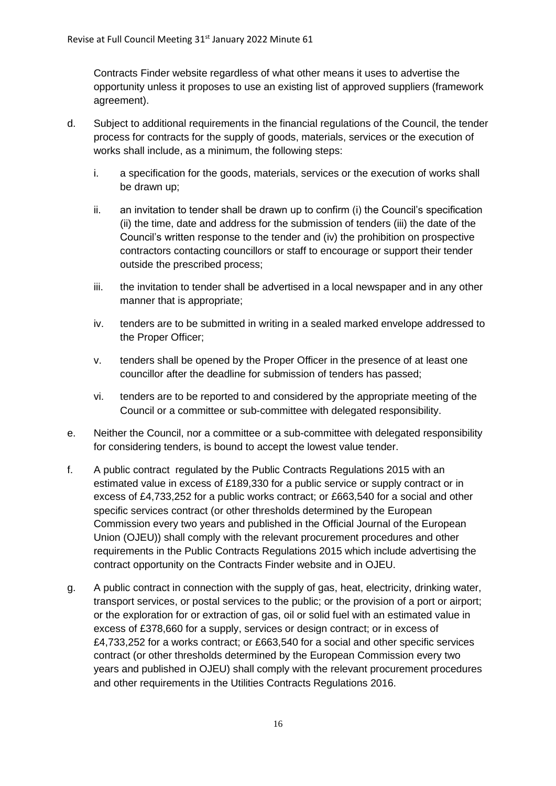Contracts Finder website regardless of what other means it uses to advertise the opportunity unless it proposes to use an existing list of approved suppliers (framework agreement).

- d. Subject to additional requirements in the financial regulations of the Council, the tender process for contracts for the supply of goods, materials, services or the execution of works shall include, as a minimum, the following steps:
	- i. a specification for the goods, materials, services or the execution of works shall be drawn up;
	- ii. an invitation to tender shall be drawn up to confirm (i) the Council's specification (ii) the time, date and address for the submission of tenders (iii) the date of the Council's written response to the tender and (iv) the prohibition on prospective contractors contacting councillors or staff to encourage or support their tender outside the prescribed process;
	- iii. the invitation to tender shall be advertised in a local newspaper and in any other manner that is appropriate;
	- iv. tenders are to be submitted in writing in a sealed marked envelope addressed to the Proper Officer;
	- v. tenders shall be opened by the Proper Officer in the presence of at least one councillor after the deadline for submission of tenders has passed;
	- vi. tenders are to be reported to and considered by the appropriate meeting of the Council or a committee or sub-committee with delegated responsibility.
- e. Neither the Council, nor a committee or a sub-committee with delegated responsibility for considering tenders, is bound to accept the lowest value tender.
- f. A public contract regulated by the Public Contracts Regulations 2015 with an estimated value in excess of £189,330 for a public service or supply contract or in excess of £4,733,252 for a public works contract; or £663,540 for a social and other specific services contract (or other thresholds determined by the European Commission every two years and published in the Official Journal of the European Union (OJEU)) shall comply with the relevant procurement procedures and other requirements in the Public Contracts Regulations 2015 which include advertising the contract opportunity on the Contracts Finder website and in OJEU.
- g. A public contract in connection with the supply of gas, heat, electricity, drinking water, transport services, or postal services to the public; or the provision of a port or airport; or the exploration for or extraction of gas, oil or solid fuel with an estimated value in excess of £378,660 for a supply, services or design contract; or in excess of £4,733,252 for a works contract; or £663,540 for a social and other specific services contract (or other thresholds determined by the European Commission every two years and published in OJEU) shall comply with the relevant procurement procedures and other requirements in the Utilities Contracts Regulations 2016.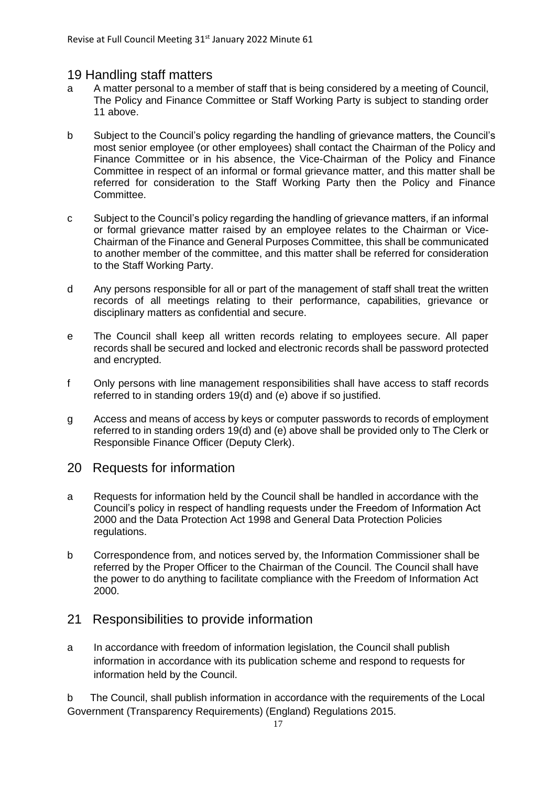# 19 Handling staff matters

- a A matter personal to a member of staff that is being considered by a meeting of Council, The Policy and Finance Committee or Staff Working Party is subject to standing order 11 above.
- b Subject to the Council's policy regarding the handling of grievance matters, the Council's most senior employee (or other employees) shall contact the Chairman of the Policy and Finance Committee or in his absence, the Vice-Chairman of the Policy and Finance Committee in respect of an informal or formal grievance matter, and this matter shall be referred for consideration to the Staff Working Party then the Policy and Finance Committee.
- c Subject to the Council's policy regarding the handling of grievance matters, if an informal or formal grievance matter raised by an employee relates to the Chairman or Vice-Chairman of the Finance and General Purposes Committee, this shall be communicated to another member of the committee, and this matter shall be referred for consideration to the Staff Working Party.
- d Any persons responsible for all or part of the management of staff shall treat the written records of all meetings relating to their performance, capabilities, grievance or disciplinary matters as confidential and secure.
- e The Council shall keep all written records relating to employees secure. All paper records shall be secured and locked and electronic records shall be password protected and encrypted.
- f Only persons with line management responsibilities shall have access to staff records referred to in standing orders 19(d) and (e) above if so justified.
- g Access and means of access by keys or computer passwords to records of employment referred to in standing orders 19(d) and (e) above shall be provided only to The Clerk or Responsible Finance Officer (Deputy Clerk).

# 20 Requests for information

- a Requests for information held by the Council shall be handled in accordance with the Council's policy in respect of handling requests under the Freedom of Information Act 2000 and the Data Protection Act 1998 and General Data Protection Policies regulations.
- b Correspondence from, and notices served by, the Information Commissioner shall be referred by the Proper Officer to the Chairman of the Council. The Council shall have the power to do anything to facilitate compliance with the Freedom of Information Act 2000.

# 21 Responsibilities to provide information

a In accordance with freedom of information legislation, the Council shall publish information in accordance with its publication scheme and respond to requests for information held by the Council.

b The Council, shall publish information in accordance with the requirements of the Local Government (Transparency Requirements) (England) Regulations 2015.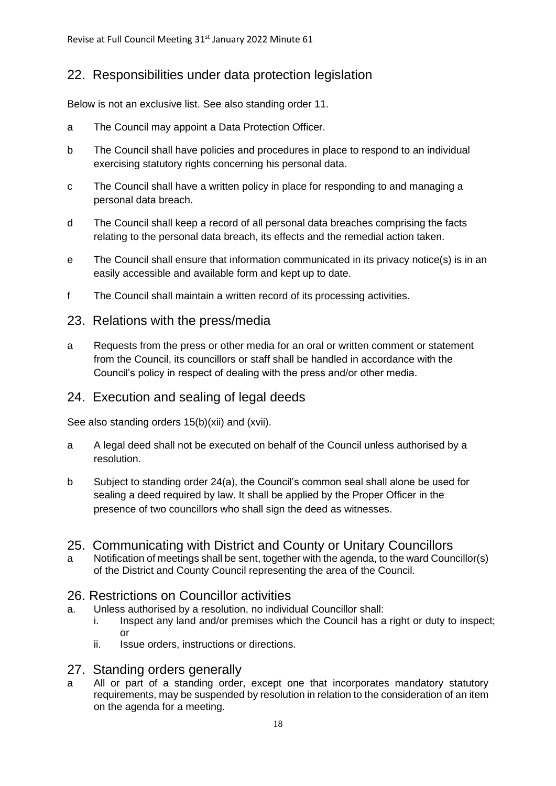# 22. Responsibilities under data protection legislation

Below is not an exclusive list. See also standing order 11.

- a The Council may appoint a Data Protection Officer.
- b The Council shall have policies and procedures in place to respond to an individual exercising statutory rights concerning his personal data.
- c The Council shall have a written policy in place for responding to and managing a personal data breach.
- d The Council shall keep a record of all personal data breaches comprising the facts relating to the personal data breach, its effects and the remedial action taken.
- e The Council shall ensure that information communicated in its privacy notice(s) is in an easily accessible and available form and kept up to date.
- f The Council shall maintain a written record of its processing activities.

# 23. Relations with the press/media

a Requests from the press or other media for an oral or written comment or statement from the Council, its councillors or staff shall be handled in accordance with the Council's policy in respect of dealing with the press and/or other media.

# 24. Execution and sealing of legal deeds

See also standing orders 15(b)(xii) and (xvii).

- a A legal deed shall not be executed on behalf of the Council unless authorised by a resolution.
- b Subject to standing order 24(a), the Council's common seal shall alone be used for sealing a deed required by law. It shall be applied by the Proper Officer in the presence of two councillors who shall sign the deed as witnesses.

# 25. Communicating with District and County or Unitary Councillors

a Notification of meetings shall be sent, together with the agenda, to the ward Councillor(s) of the District and County Council representing the area of the Council.

# 26. Restrictions on Councillor activities

- a. Unless authorised by a resolution, no individual Councillor shall:
	- i. Inspect any land and/or premises which the Council has a right or duty to inspect; or
	- ii. Issue orders, instructions or directions.

# 27. Standing orders generally

a All or part of a standing order, except one that incorporates mandatory statutory requirements, may be suspended by resolution in relation to the consideration of an item on the agenda for a meeting.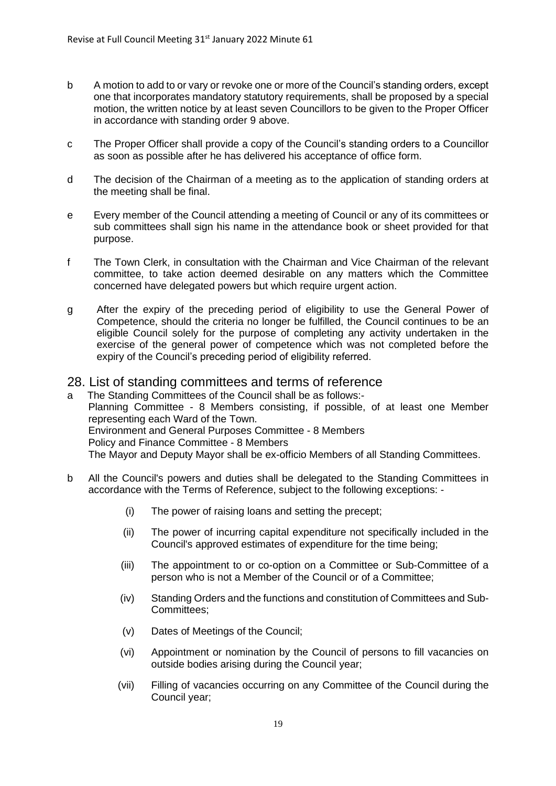- b A motion to add to or vary or revoke one or more of the Council's standing orders, except one that incorporates mandatory statutory requirements, shall be proposed by a special motion, the written notice by at least seven Councillors to be given to the Proper Officer in accordance with standing order 9 above.
- c The Proper Officer shall provide a copy of the Council's standing orders to a Councillor as soon as possible after he has delivered his acceptance of office form.
- d The decision of the Chairman of a meeting as to the application of standing orders at the meeting shall be final.
- e Every member of the Council attending a meeting of Council or any of its committees or sub committees shall sign his name in the attendance book or sheet provided for that purpose.
- f The Town Clerk, in consultation with the Chairman and Vice Chairman of the relevant committee, to take action deemed desirable on any matters which the Committee concerned have delegated powers but which require urgent action.
- g After the expiry of the preceding period of eligibility to use the General Power of Competence, should the criteria no longer be fulfilled, the Council continues to be an eligible Council solely for the purpose of completing any activity undertaken in the exercise of the general power of competence which was not completed before the expiry of the Council's preceding period of eligibility referred.

# 28. List of standing committees and terms of reference

a The Standing Committees of the Council shall be as follows:- Planning Committee - 8 Members consisting, if possible, of at least one Member representing each Ward of the Town. Environment and General Purposes Committee - 8 Members Policy and Finance Committee - 8 Members The Mayor and Deputy Mayor shall be ex-officio Members of all Standing Committees.

- b All the Council's powers and duties shall be delegated to the Standing Committees in accordance with the Terms of Reference, subject to the following exceptions: -
	- (i) The power of raising loans and setting the precept;
	- (ii) The power of incurring capital expenditure not specifically included in the Council's approved estimates of expenditure for the time being;
	- (iii) The appointment to or co-option on a Committee or Sub-Committee of a person who is not a Member of the Council or of a Committee;
	- (iv) Standing Orders and the functions and constitution of Committees and Sub-Committees;
	- (v) Dates of Meetings of the Council;
	- (vi) Appointment or nomination by the Council of persons to fill vacancies on outside bodies arising during the Council year;
	- (vii) Filling of vacancies occurring on any Committee of the Council during the Council year;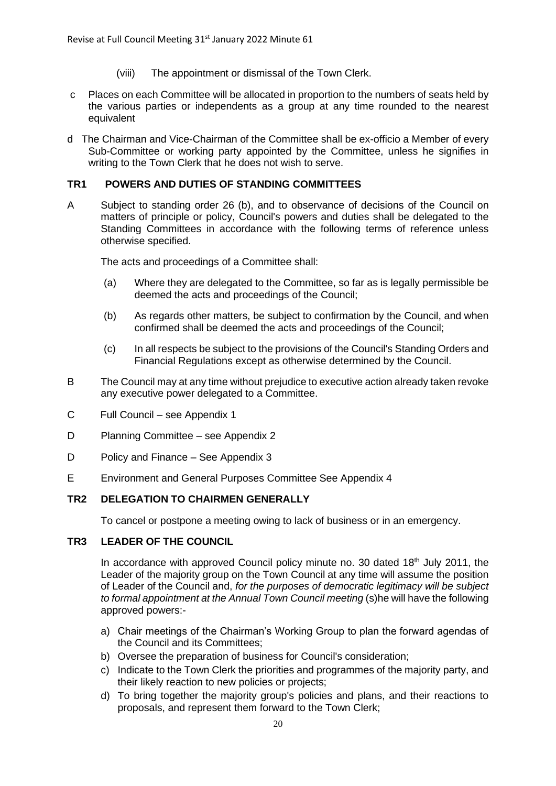- (viii) The appointment or dismissal of the Town Clerk.
- c Places on each Committee will be allocated in proportion to the numbers of seats held by the various parties or independents as a group at any time rounded to the nearest equivalent
- d The Chairman and Vice-Chairman of the Committee shall be ex-officio a Member of every Sub-Committee or working party appointed by the Committee, unless he signifies in writing to the Town Clerk that he does not wish to serve.

#### **TR1 POWERS AND DUTIES OF STANDING COMMITTEES**

A Subject to standing order 26 (b), and to observance of decisions of the Council on matters of principle or policy, Council's powers and duties shall be delegated to the Standing Committees in accordance with the following terms of reference unless otherwise specified.

The acts and proceedings of a Committee shall:

- (a) Where they are delegated to the Committee, so far as is legally permissible be deemed the acts and proceedings of the Council;
- (b) As regards other matters, be subject to confirmation by the Council, and when confirmed shall be deemed the acts and proceedings of the Council;
- (c) In all respects be subject to the provisions of the Council's Standing Orders and Financial Regulations except as otherwise determined by the Council.
- B The Council may at any time without prejudice to executive action already taken revoke any executive power delegated to a Committee.
- C Full Council see Appendix 1
- D Planning Committee see Appendix 2
- D Policy and Finance See Appendix 3
- E Environment and General Purposes Committee See Appendix 4

# **TR2 DELEGATION TO CHAIRMEN GENERALLY**

To cancel or postpone a meeting owing to lack of business or in an emergency.

#### **TR3 LEADER OF THE COUNCIL**

In accordance with approved Council policy minute no. 30 dated  $18<sup>th</sup>$  July 2011, the Leader of the majority group on the Town Council at any time will assume the position of Leader of the Council and, *for the purposes of democratic legitimacy will be subject to formal appointment at the Annual Town Council meeting* (s)he will have the following approved powers:-

- a) Chair meetings of the Chairman's Working Group to plan the forward agendas of the Council and its Committees;
- b) Oversee the preparation of business for Council's consideration;
- c) Indicate to the Town Clerk the priorities and programmes of the majority party, and their likely reaction to new policies or projects;
- d) To bring together the majority group's policies and plans, and their reactions to proposals, and represent them forward to the Town Clerk;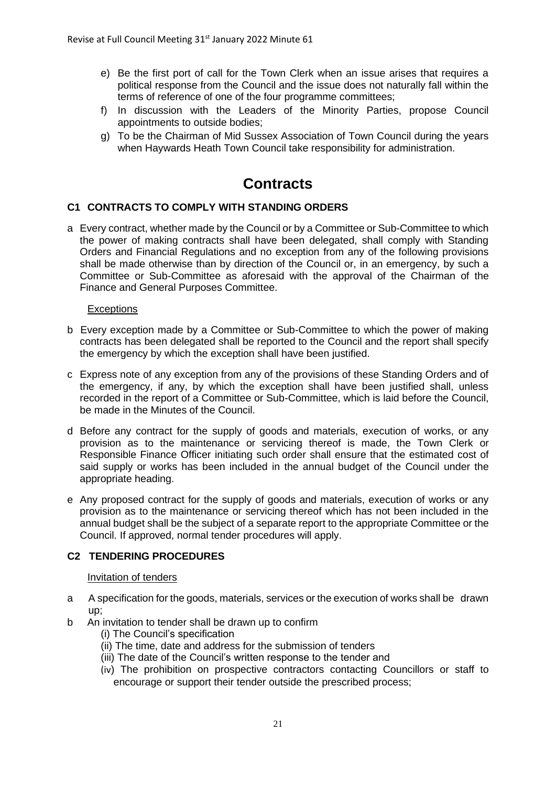- e) Be the first port of call for the Town Clerk when an issue arises that requires a political response from the Council and the issue does not naturally fall within the terms of reference of one of the four programme committees;
- f) In discussion with the Leaders of the Minority Parties, propose Council appointments to outside bodies;
- g) To be the Chairman of Mid Sussex Association of Town Council during the years when Haywards Heath Town Council take responsibility for administration.

# **Contracts**

#### **C1 CONTRACTS TO COMPLY WITH STANDING ORDERS**

a Every contract, whether made by the Council or by a Committee or Sub-Committee to which the power of making contracts shall have been delegated, shall comply with Standing Orders and Financial Regulations and no exception from any of the following provisions shall be made otherwise than by direction of the Council or, in an emergency, by such a Committee or Sub-Committee as aforesaid with the approval of the Chairman of the Finance and General Purposes Committee.

#### **Exceptions**

- b Every exception made by a Committee or Sub-Committee to which the power of making contracts has been delegated shall be reported to the Council and the report shall specify the emergency by which the exception shall have been justified.
- c Express note of any exception from any of the provisions of these Standing Orders and of the emergency, if any, by which the exception shall have been justified shall, unless recorded in the report of a Committee or Sub-Committee, which is laid before the Council, be made in the Minutes of the Council.
- d Before any contract for the supply of goods and materials, execution of works, or any provision as to the maintenance or servicing thereof is made, the Town Clerk or Responsible Finance Officer initiating such order shall ensure that the estimated cost of said supply or works has been included in the annual budget of the Council under the appropriate heading.
- e Any proposed contract for the supply of goods and materials, execution of works or any provision as to the maintenance or servicing thereof which has not been included in the annual budget shall be the subject of a separate report to the appropriate Committee or the Council. If approved, normal tender procedures will apply.

### **C2 TENDERING PROCEDURES**

#### Invitation of tenders

- a A specification for the goods, materials, services or the execution of works shall be drawn up;
- b An invitation to tender shall be drawn up to confirm
	- (i) The Council's specification
	- (ii) The time, date and address for the submission of tenders
	- (iii) The date of the Council's written response to the tender and
	- (iv) The prohibition on prospective contractors contacting Councillors or staff to encourage or support their tender outside the prescribed process;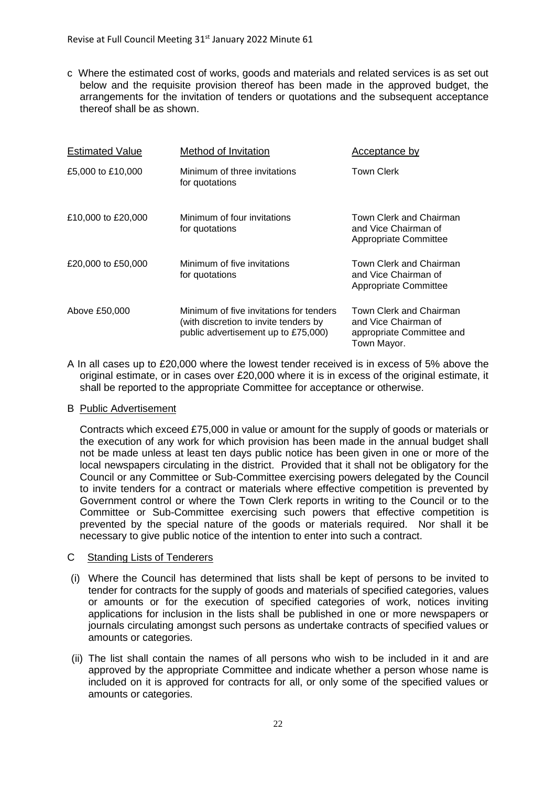c Where the estimated cost of works, goods and materials and related services is as set out below and the requisite provision thereof has been made in the approved budget, the arrangements for the invitation of tenders or quotations and the subsequent acceptance thereof shall be as shown.

| <b>Estimated Value</b> | Method of Invitation                                                                                                    | Acceptance by                                                                               |
|------------------------|-------------------------------------------------------------------------------------------------------------------------|---------------------------------------------------------------------------------------------|
| £5,000 to £10,000      | Minimum of three invitations<br>for quotations                                                                          | <b>Town Clerk</b>                                                                           |
| £10,000 to £20,000     | Minimum of four invitations<br>for quotations                                                                           | Town Clerk and Chairman<br>and Vice Chairman of<br>Appropriate Committee                    |
| £20,000 to £50,000     | Minimum of five invitations<br>for quotations                                                                           | Town Clerk and Chairman<br>and Vice Chairman of<br>Appropriate Committee                    |
| Above £50,000          | Minimum of five invitations for tenders<br>(with discretion to invite tenders by<br>public advertisement up to £75,000) | Town Clerk and Chairman<br>and Vice Chairman of<br>appropriate Committee and<br>Town Mayor. |

A In all cases up to £20,000 where the lowest tender received is in excess of 5% above the original estimate, or in cases over £20,000 where it is in excess of the original estimate, it shall be reported to the appropriate Committee for acceptance or otherwise.

#### B Public Advertisement

Contracts which exceed £75,000 in value or amount for the supply of goods or materials or the execution of any work for which provision has been made in the annual budget shall not be made unless at least ten days public notice has been given in one or more of the local newspapers circulating in the district. Provided that it shall not be obligatory for the Council or any Committee or Sub-Committee exercising powers delegated by the Council to invite tenders for a contract or materials where effective competition is prevented by Government control or where the Town Clerk reports in writing to the Council or to the Committee or Sub-Committee exercising such powers that effective competition is prevented by the special nature of the goods or materials required. Nor shall it be necessary to give public notice of the intention to enter into such a contract.

#### C Standing Lists of Tenderers

- (i) Where the Council has determined that lists shall be kept of persons to be invited to tender for contracts for the supply of goods and materials of specified categories, values or amounts or for the execution of specified categories of work, notices inviting applications for inclusion in the lists shall be published in one or more newspapers or journals circulating amongst such persons as undertake contracts of specified values or amounts or categories.
- (ii) The list shall contain the names of all persons who wish to be included in it and are approved by the appropriate Committee and indicate whether a person whose name is included on it is approved for contracts for all, or only some of the specified values or amounts or categories.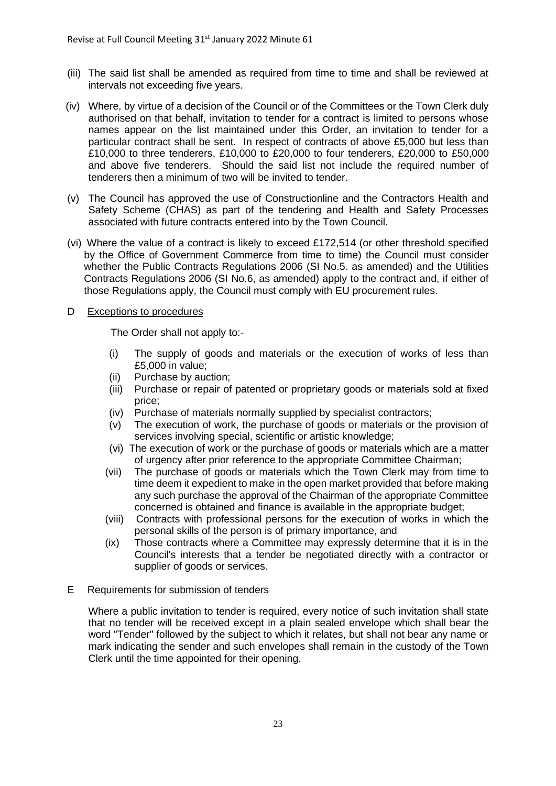- (iii) The said list shall be amended as required from time to time and shall be reviewed at intervals not exceeding five years.
- (iv) Where, by virtue of a decision of the Council or of the Committees or the Town Clerk duly authorised on that behalf, invitation to tender for a contract is limited to persons whose names appear on the list maintained under this Order, an invitation to tender for a particular contract shall be sent. In respect of contracts of above £5,000 but less than £10,000 to three tenderers, £10,000 to £20,000 to four tenderers, £20,000 to £50,000 and above five tenderers. Should the said list not include the required number of tenderers then a minimum of two will be invited to tender.
- (v) The Council has approved the use of Constructionline and the Contractors Health and Safety Scheme (CHAS) as part of the tendering and Health and Safety Processes associated with future contracts entered into by the Town Council.
- (vi) Where the value of a contract is likely to exceed £172,514 (or other threshold specified by the Office of Government Commerce from time to time) the Council must consider whether the Public Contracts Regulations 2006 (SI No.5. as amended) and the Utilities Contracts Regulations 2006 (SI No.6, as amended) apply to the contract and, if either of those Regulations apply, the Council must comply with EU procurement rules.

#### D Exceptions to procedures

The Order shall not apply to:-

- (i) The supply of goods and materials or the execution of works of less than £5,000 in value;
- (ii) Purchase by auction;
- (iii) Purchase or repair of patented or proprietary goods or materials sold at fixed price;
- (iv) Purchase of materials normally supplied by specialist contractors;
- (v) The execution of work, the purchase of goods or materials or the provision of services involving special, scientific or artistic knowledge;
- (vi) The execution of work or the purchase of goods or materials which are a matter of urgency after prior reference to the appropriate Committee Chairman;
- (vii) The purchase of goods or materials which the Town Clerk may from time to time deem it expedient to make in the open market provided that before making any such purchase the approval of the Chairman of the appropriate Committee concerned is obtained and finance is available in the appropriate budget;
- (viii) Contracts with professional persons for the execution of works in which the personal skills of the person is of primary importance, and
- (ix) Those contracts where a Committee may expressly determine that it is in the Council's interests that a tender be negotiated directly with a contractor or supplier of goods or services.

#### E Requirements for submission of tenders

Where a public invitation to tender is required, every notice of such invitation shall state that no tender will be received except in a plain sealed envelope which shall bear the word "Tender" followed by the subject to which it relates, but shall not bear any name or mark indicating the sender and such envelopes shall remain in the custody of the Town Clerk until the time appointed for their opening.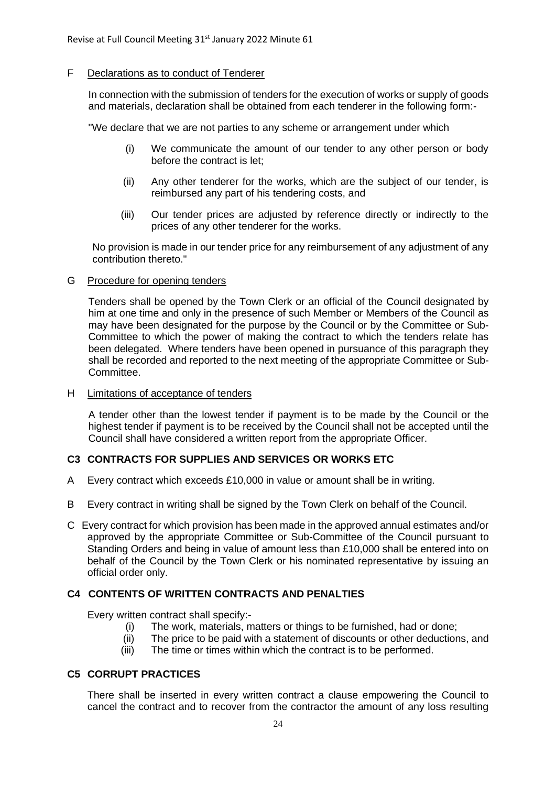#### F Declarations as to conduct of Tenderer

In connection with the submission of tenders for the execution of works or supply of goods and materials, declaration shall be obtained from each tenderer in the following form:-

"We declare that we are not parties to any scheme or arrangement under which

- (i) We communicate the amount of our tender to any other person or body before the contract is let;
- (ii) Any other tenderer for the works, which are the subject of our tender, is reimbursed any part of his tendering costs, and
- (iii) Our tender prices are adjusted by reference directly or indirectly to the prices of any other tenderer for the works.

No provision is made in our tender price for any reimbursement of any adjustment of any contribution thereto."

#### G Procedure for opening tenders

Tenders shall be opened by the Town Clerk or an official of the Council designated by him at one time and only in the presence of such Member or Members of the Council as may have been designated for the purpose by the Council or by the Committee or Sub-Committee to which the power of making the contract to which the tenders relate has been delegated. Where tenders have been opened in pursuance of this paragraph they shall be recorded and reported to the next meeting of the appropriate Committee or Sub-Committee.

#### H Limitations of acceptance of tenders

A tender other than the lowest tender if payment is to be made by the Council or the highest tender if payment is to be received by the Council shall not be accepted until the Council shall have considered a written report from the appropriate Officer.

#### **C3 CONTRACTS FOR SUPPLIES AND SERVICES OR WORKS ETC**

- A Every contract which exceeds £10,000 in value or amount shall be in writing.
- B Every contract in writing shall be signed by the Town Clerk on behalf of the Council.
- C Every contract for which provision has been made in the approved annual estimates and/or approved by the appropriate Committee or Sub-Committee of the Council pursuant to Standing Orders and being in value of amount less than £10,000 shall be entered into on behalf of the Council by the Town Clerk or his nominated representative by issuing an official order only.

#### **C4 CONTENTS OF WRITTEN CONTRACTS AND PENALTIES**

Every written contract shall specify:-

- (i) The work, materials, matters or things to be furnished, had or done;
- (ii) The price to be paid with a statement of discounts or other deductions, and
- (iii) The time or times within which the contract is to be performed.

#### **C5 CORRUPT PRACTICES**

There shall be inserted in every written contract a clause empowering the Council to cancel the contract and to recover from the contractor the amount of any loss resulting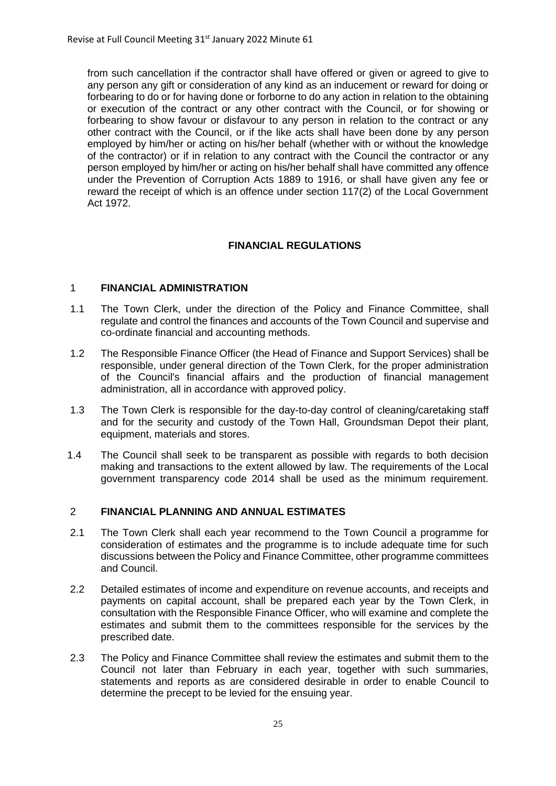from such cancellation if the contractor shall have offered or given or agreed to give to any person any gift or consideration of any kind as an inducement or reward for doing or forbearing to do or for having done or forborne to do any action in relation to the obtaining or execution of the contract or any other contract with the Council, or for showing or forbearing to show favour or disfavour to any person in relation to the contract or any other contract with the Council, or if the like acts shall have been done by any person employed by him/her or acting on his/her behalf (whether with or without the knowledge of the contractor) or if in relation to any contract with the Council the contractor or any person employed by him/her or acting on his/her behalf shall have committed any offence under the Prevention of Corruption Acts 1889 to 1916, or shall have given any fee or reward the receipt of which is an offence under section 117(2) of the Local Government Act 1972.

#### **FINANCIAL REGULATIONS**

#### 1 **FINANCIAL ADMINISTRATION**

- 1.1 The Town Clerk, under the direction of the Policy and Finance Committee, shall regulate and control the finances and accounts of the Town Council and supervise and co-ordinate financial and accounting methods.
- 1.2 The Responsible Finance Officer (the Head of Finance and Support Services) shall be responsible, under general direction of the Town Clerk, for the proper administration of the Council's financial affairs and the production of financial management administration, all in accordance with approved policy.
- 1.3 The Town Clerk is responsible for the day-to-day control of cleaning/caretaking staff and for the security and custody of the Town Hall, Groundsman Depot their plant, equipment, materials and stores.
- 1.4 The Council shall seek to be transparent as possible with regards to both decision making and transactions to the extent allowed by law. The requirements of the Local government transparency code 2014 shall be used as the minimum requirement.

#### 2 **FINANCIAL PLANNING AND ANNUAL ESTIMATES**

- 2.1 The Town Clerk shall each year recommend to the Town Council a programme for consideration of estimates and the programme is to include adequate time for such discussions between the Policy and Finance Committee, other programme committees and Council.
- 2.2 Detailed estimates of income and expenditure on revenue accounts, and receipts and payments on capital account, shall be prepared each year by the Town Clerk, in consultation with the Responsible Finance Officer, who will examine and complete the estimates and submit them to the committees responsible for the services by the prescribed date.
- 2.3 The Policy and Finance Committee shall review the estimates and submit them to the Council not later than February in each year, together with such summaries, statements and reports as are considered desirable in order to enable Council to determine the precept to be levied for the ensuing year.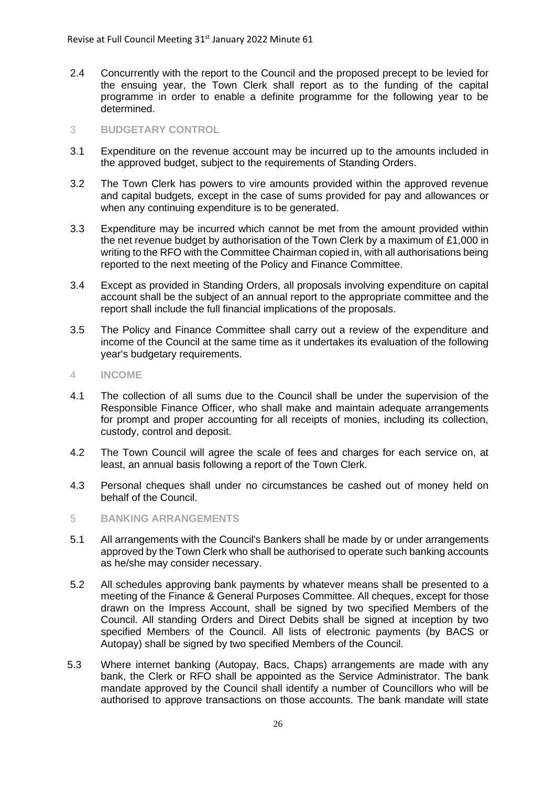2.4 Concurrently with the report to the Council and the proposed precept to be levied for the ensuing year, the Town Clerk shall report as to the funding of the capital programme in order to enable a definite programme for the following year to be determined.

#### 3 **BUDGETARY CONTROL**

- 3.1 Expenditure on the revenue account may be incurred up to the amounts included in the approved budget, subject to the requirements of Standing Orders.
- 3.2 The Town Clerk has powers to vire amounts provided within the approved revenue and capital budgets, except in the case of sums provided for pay and allowances or when any continuing expenditure is to be generated.
- 3.3 Expenditure may be incurred which cannot be met from the amount provided within the net revenue budget by authorisation of the Town Clerk by a maximum of £1,000 in writing to the RFO with the Committee Chairman copied in, with all authorisations being reported to the next meeting of the Policy and Finance Committee.
- 3.4 Except as provided in Standing Orders, all proposals involving expenditure on capital account shall be the subject of an annual report to the appropriate committee and the report shall include the full financial implications of the proposals.
- 3.5 The Policy and Finance Committee shall carry out a review of the expenditure and income of the Council at the same time as it undertakes its evaluation of the following year's budgetary requirements.
- 4 **INCOME**
- 4.1 The collection of all sums due to the Council shall be under the supervision of the Responsible Finance Officer, who shall make and maintain adequate arrangements for prompt and proper accounting for all receipts of monies, including its collection, custody, control and deposit.
- 4.2 The Town Council will agree the scale of fees and charges for each service on, at least, an annual basis following a report of the Town Clerk.
- 4.3 Personal cheques shall under no circumstances be cashed out of money held on behalf of the Council.
- 5 **BANKING ARRANGEMENTS**
- 5.1 All arrangements with the Council's Bankers shall be made by or under arrangements approved by the Town Clerk who shall be authorised to operate such banking accounts as he/she may consider necessary.
- 5.2 All schedules approving bank payments by whatever means shall be presented to a meeting of the Finance & General Purposes Committee. All cheques, except for those drawn on the Impress Account, shall be signed by two specified Members of the Council. All standing Orders and Direct Debits shall be signed at inception by two specified Members of the Council. All lists of electronic payments (by BACS or Autopay) shall be signed by two specified Members of the Council.
- 5.3 Where internet banking (Autopay, Bacs, Chaps) arrangements are made with any bank, the Clerk or RFO shall be appointed as the Service Administrator. The bank mandate approved by the Council shall identify a number of Councillors who will be authorised to approve transactions on those accounts. The bank mandate will state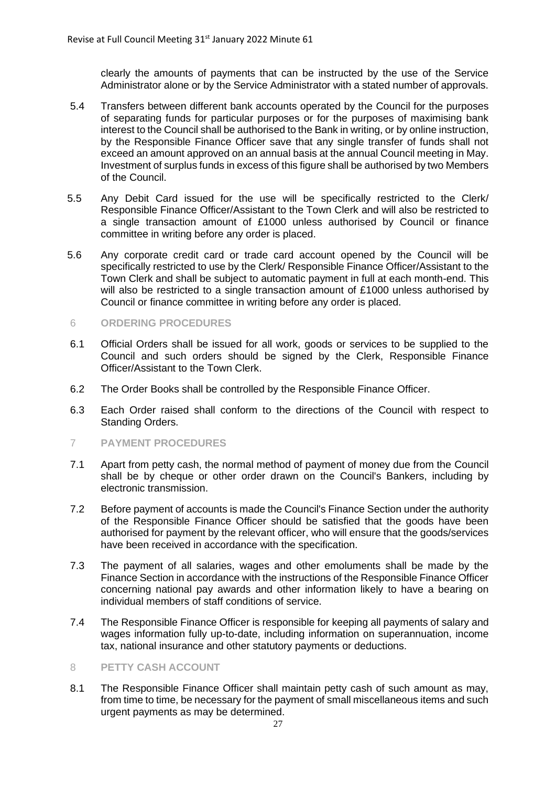clearly the amounts of payments that can be instructed by the use of the Service Administrator alone or by the Service Administrator with a stated number of approvals.

- 5.4 Transfers between different bank accounts operated by the Council for the purposes of separating funds for particular purposes or for the purposes of maximising bank interest to the Council shall be authorised to the Bank in writing, or by online instruction, by the Responsible Finance Officer save that any single transfer of funds shall not exceed an amount approved on an annual basis at the annual Council meeting in May. Investment of surplus funds in excess of this figure shall be authorised by two Members of the Council.
- 5.5 Any Debit Card issued for the use will be specifically restricted to the Clerk/ Responsible Finance Officer/Assistant to the Town Clerk and will also be restricted to a single transaction amount of £1000 unless authorised by Council or finance committee in writing before any order is placed.
- 5.6 Any corporate credit card or trade card account opened by the Council will be specifically restricted to use by the Clerk/ Responsible Finance Officer/Assistant to the Town Clerk and shall be subject to automatic payment in full at each month-end. This will also be restricted to a single transaction amount of £1000 unless authorised by Council or finance committee in writing before any order is placed.
- 6 **ORDERING PROCEDURES**
- 6.1 Official Orders shall be issued for all work, goods or services to be supplied to the Council and such orders should be signed by the Clerk, Responsible Finance Officer/Assistant to the Town Clerk.
- 6.2 The Order Books shall be controlled by the Responsible Finance Officer.
- 6.3 Each Order raised shall conform to the directions of the Council with respect to Standing Orders.
- 7 **PAYMENT PROCEDURES**
- 7.1 Apart from petty cash, the normal method of payment of money due from the Council shall be by cheque or other order drawn on the Council's Bankers, including by electronic transmission.
- 7.2 Before payment of accounts is made the Council's Finance Section under the authority of the Responsible Finance Officer should be satisfied that the goods have been authorised for payment by the relevant officer, who will ensure that the goods/services have been received in accordance with the specification.
- 7.3 The payment of all salaries, wages and other emoluments shall be made by the Finance Section in accordance with the instructions of the Responsible Finance Officer concerning national pay awards and other information likely to have a bearing on individual members of staff conditions of service.
- 7.4 The Responsible Finance Officer is responsible for keeping all payments of salary and wages information fully up-to-date, including information on superannuation, income tax, national insurance and other statutory payments or deductions.

#### 8 **PETTY CASH ACCOUNT**

8.1 The Responsible Finance Officer shall maintain petty cash of such amount as may, from time to time, be necessary for the payment of small miscellaneous items and such urgent payments as may be determined.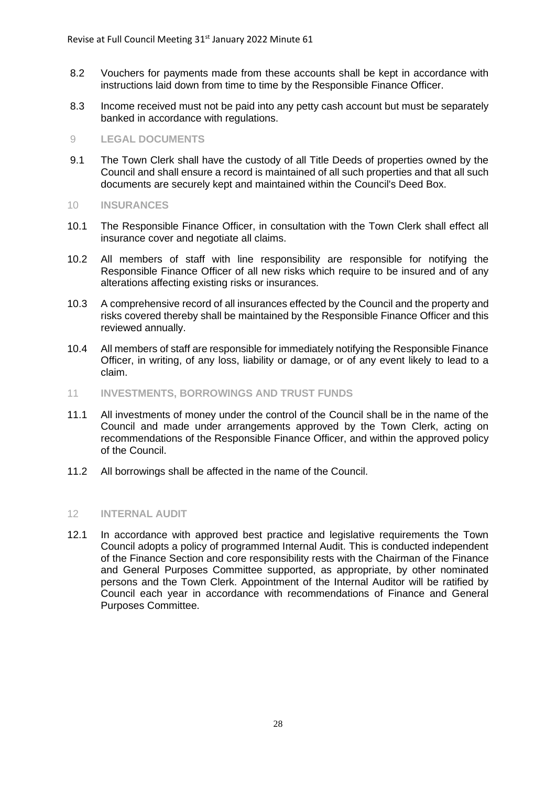- 8.2 Vouchers for payments made from these accounts shall be kept in accordance with instructions laid down from time to time by the Responsible Finance Officer.
- 8.3 Income received must not be paid into any petty cash account but must be separately banked in accordance with regulations.

#### 9 **LEGAL DOCUMENTS**

- 9.1 The Town Clerk shall have the custody of all Title Deeds of properties owned by the Council and shall ensure a record is maintained of all such properties and that all such documents are securely kept and maintained within the Council's Deed Box.
- 10 **INSURANCES**
- 10.1 The Responsible Finance Officer, in consultation with the Town Clerk shall effect all insurance cover and negotiate all claims.
- 10.2 All members of staff with line responsibility are responsible for notifying the Responsible Finance Officer of all new risks which require to be insured and of any alterations affecting existing risks or insurances.
- 10.3 A comprehensive record of all insurances effected by the Council and the property and risks covered thereby shall be maintained by the Responsible Finance Officer and this reviewed annually.
- 10.4 All members of staff are responsible for immediately notifying the Responsible Finance Officer, in writing, of any loss, liability or damage, or of any event likely to lead to a claim.
- 11 **INVESTMENTS, BORROWINGS AND TRUST FUNDS**
- 11.1 All investments of money under the control of the Council shall be in the name of the Council and made under arrangements approved by the Town Clerk, acting on recommendations of the Responsible Finance Officer, and within the approved policy of the Council.
- 11.2 All borrowings shall be affected in the name of the Council.

#### 12 **INTERNAL AUDIT**

12.1 In accordance with approved best practice and legislative requirements the Town Council adopts a policy of programmed Internal Audit. This is conducted independent of the Finance Section and core responsibility rests with the Chairman of the Finance and General Purposes Committee supported, as appropriate, by other nominated persons and the Town Clerk. Appointment of the Internal Auditor will be ratified by Council each year in accordance with recommendations of Finance and General Purposes Committee.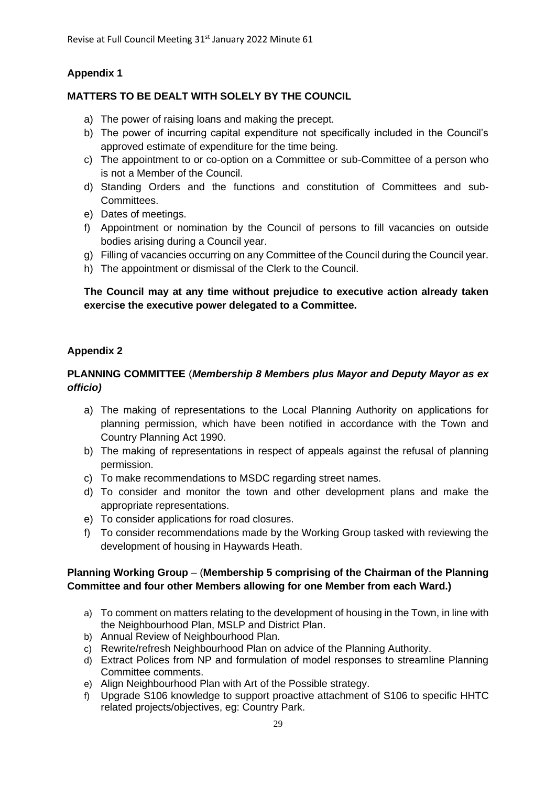# **Appendix 1**

# **MATTERS TO BE DEALT WITH SOLELY BY THE COUNCIL**

- a) The power of raising loans and making the precept.
- b) The power of incurring capital expenditure not specifically included in the Council's approved estimate of expenditure for the time being.
- c) The appointment to or co-option on a Committee or sub-Committee of a person who is not a Member of the Council.
- d) Standing Orders and the functions and constitution of Committees and sub-Committees.
- e) Dates of meetings.
- f) Appointment or nomination by the Council of persons to fill vacancies on outside bodies arising during a Council year.
- g) Filling of vacancies occurring on any Committee of the Council during the Council year.
- h) The appointment or dismissal of the Clerk to the Council.

### **The Council may at any time without prejudice to executive action already taken exercise the executive power delegated to a Committee.**

# **Appendix 2**

# **PLANNING COMMITTEE** (*Membership 8 Members plus Mayor and Deputy Mayor as ex officio)*

- a) The making of representations to the Local Planning Authority on applications for planning permission, which have been notified in accordance with the Town and Country Planning Act 1990.
- b) The making of representations in respect of appeals against the refusal of planning permission.
- c) To make recommendations to MSDC regarding street names.
- d) To consider and monitor the town and other development plans and make the appropriate representations.
- e) To consider applications for road closures.
- f) To consider recommendations made by the Working Group tasked with reviewing the development of housing in Haywards Heath.

# **Planning Working Group** – (**Membership 5 comprising of the Chairman of the Planning Committee and four other Members allowing for one Member from each Ward.)**

- a) To comment on matters relating to the development of housing in the Town, in line with the Neighbourhood Plan, MSLP and District Plan.
- b) Annual Review of Neighbourhood Plan.
- c) Rewrite/refresh Neighbourhood Plan on advice of the Planning Authority.
- d) Extract Polices from NP and formulation of model responses to streamline Planning Committee comments.
- e) Align Neighbourhood Plan with Art of the Possible strategy.
- f) Upgrade S106 knowledge to support proactive attachment of S106 to specific HHTC related projects/objectives, eg: Country Park.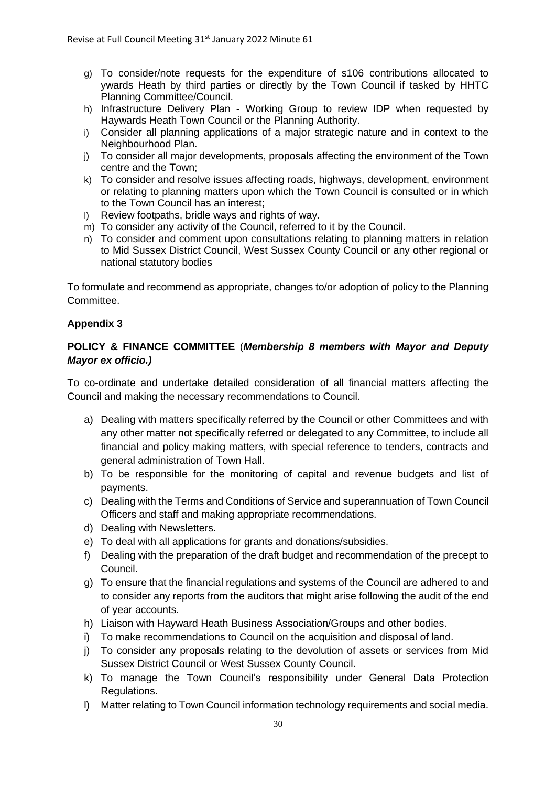- g) To consider/note requests for the expenditure of s106 contributions allocated to ywards Heath by third parties or directly by the Town Council if tasked by HHTC Planning Committee/Council.
- h) Infrastructure Delivery Plan Working Group to review IDP when requested by Haywards Heath Town Council or the Planning Authority.
- i) Consider all planning applications of a major strategic nature and in context to the Neighbourhood Plan.
- j) To consider all major developments, proposals affecting the environment of the Town centre and the Town;
- k) To consider and resolve issues affecting roads, highways, development, environment or relating to planning matters upon which the Town Council is consulted or in which to the Town Council has an interest;
- l) Review footpaths, bridle ways and rights of way.
- m) To consider any activity of the Council, referred to it by the Council.
- n) To consider and comment upon consultations relating to planning matters in relation to Mid Sussex District Council, West Sussex County Council or any other regional or national statutory bodies

To formulate and recommend as appropriate, changes to/or adoption of policy to the Planning Committee.

#### **Appendix 3**

# **POLICY & FINANCE COMMITTEE** (*Membership 8 members with Mayor and Deputy Mayor ex officio.)*

To co-ordinate and undertake detailed consideration of all financial matters affecting the Council and making the necessary recommendations to Council.

- a) Dealing with matters specifically referred by the Council or other Committees and with any other matter not specifically referred or delegated to any Committee, to include all financial and policy making matters, with special reference to tenders, contracts and general administration of Town Hall.
- b) To be responsible for the monitoring of capital and revenue budgets and list of payments.
- c) Dealing with the Terms and Conditions of Service and superannuation of Town Council Officers and staff and making appropriate recommendations.
- d) Dealing with Newsletters.
- e) To deal with all applications for grants and donations/subsidies.
- f) Dealing with the preparation of the draft budget and recommendation of the precept to Council.
- g) To ensure that the financial regulations and systems of the Council are adhered to and to consider any reports from the auditors that might arise following the audit of the end of year accounts.
- h) Liaison with Hayward Heath Business Association/Groups and other bodies.
- i) To make recommendations to Council on the acquisition and disposal of land.
- j) To consider any proposals relating to the devolution of assets or services from Mid Sussex District Council or West Sussex County Council.
- k) To manage the Town Council's responsibility under General Data Protection Regulations.
- l) Matter relating to Town Council information technology requirements and social media.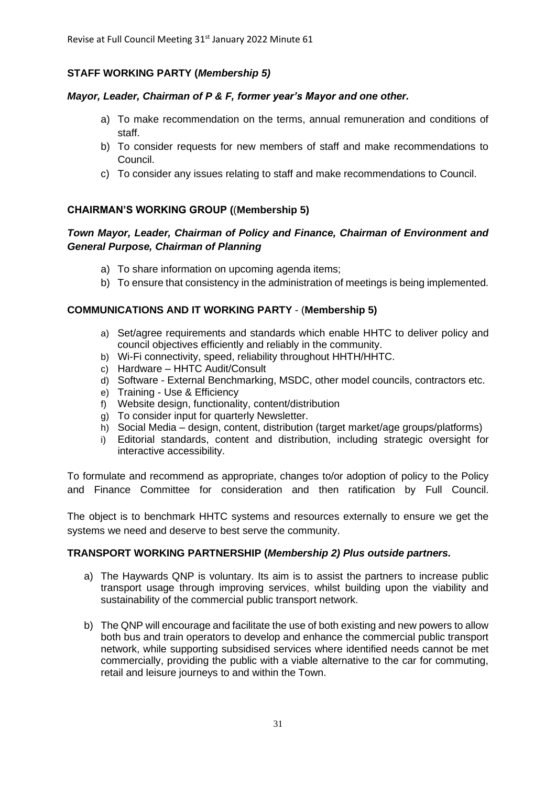# **STAFF WORKING PARTY (***Membership 5)*

#### *Mayor, Leader, Chairman of P & F, former year's Mayor and one other.*

- a) To make recommendation on the terms, annual remuneration and conditions of staff.
- b) To consider requests for new members of staff and make recommendations to Council.
- c) To consider any issues relating to staff and make recommendations to Council.

# **CHAIRMAN'S WORKING GROUP (**(**Membership 5)**

# *Town Mayor, Leader, Chairman of Policy and Finance, Chairman of Environment and General Purpose, Chairman of Planning*

- a) To share information on upcoming agenda items;
- b) To ensure that consistency in the administration of meetings is being implemented.

#### **COMMUNICATIONS AND IT WORKING PARTY** - (**Membership 5)**

- a) Set/agree requirements and standards which enable HHTC to deliver policy and council objectives efficiently and reliably in the community.
- b) Wi-Fi connectivity, speed, reliability throughout HHTH/HHTC.
- c) Hardware HHTC Audit/Consult
- d) Software External Benchmarking, MSDC, other model councils, contractors etc.
- e) Training Use & Efficiency
- f) Website design, functionality, content/distribution
- g) To consider input for quarterly Newsletter.
- h) Social Media design, content, distribution (target market/age groups/platforms)
- i) Editorial standards, content and distribution, including strategic oversight for interactive accessibility.

To formulate and recommend as appropriate, changes to/or adoption of policy to the Policy and Finance Committee for consideration and then ratification by Full Council.

The object is to benchmark HHTC systems and resources externally to ensure we get the systems we need and deserve to best serve the community.

#### **TRANSPORT WORKING PARTNERSHIP (***Membership 2) Plus outside partners.*

- a) The Haywards QNP is voluntary. Its aim is to assist the partners to increase public transport usage through improving services, whilst building upon the viability and sustainability of the commercial public transport network.
- b) The QNP will encourage and facilitate the use of both existing and new powers to allow both bus and train operators to develop and enhance the commercial public transport network, while supporting subsidised services where identified needs cannot be met commercially, providing the public with a viable alternative to the car for commuting, retail and leisure journeys to and within the Town.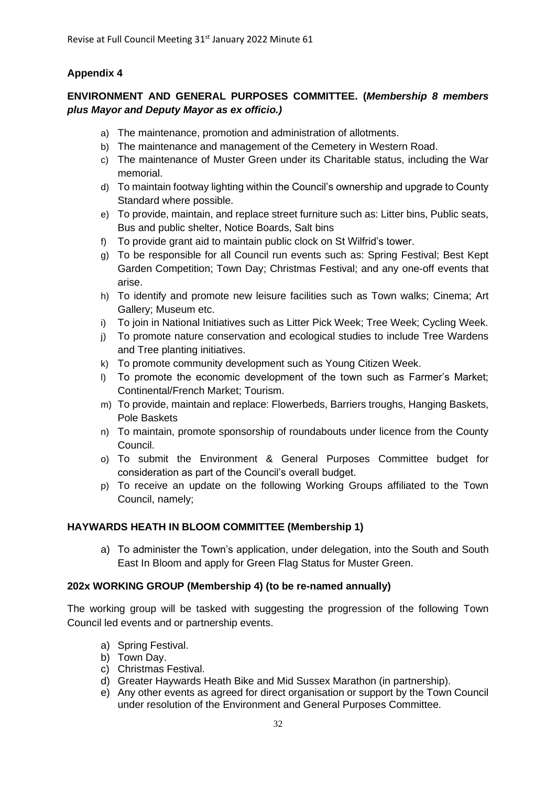# **Appendix 4**

# **ENVIRONMENT AND GENERAL PURPOSES COMMITTEE. (***Membership 8 members plus Mayor and Deputy Mayor as ex officio.)*

- a) The maintenance, promotion and administration of allotments.
- b) The maintenance and management of the Cemetery in Western Road.
- c) The maintenance of Muster Green under its Charitable status, including the War memorial.
- d) To maintain footway lighting within the Council's ownership and upgrade to County Standard where possible.
- e) To provide, maintain, and replace street furniture such as: Litter bins, Public seats, Bus and public shelter, Notice Boards, Salt bins
- f) To provide grant aid to maintain public clock on St Wilfrid's tower.
- g) To be responsible for all Council run events such as: Spring Festival; Best Kept Garden Competition; Town Day; Christmas Festival; and any one-off events that arise.
- h) To identify and promote new leisure facilities such as Town walks; Cinema; Art Gallery; Museum etc.
- i) To join in National Initiatives such as Litter Pick Week; Tree Week; Cycling Week.
- j) To promote nature conservation and ecological studies to include Tree Wardens and Tree planting initiatives.
- k) To promote community development such as Young Citizen Week.
- l) To promote the economic development of the town such as Farmer's Market; Continental/French Market; Tourism.
- m) To provide, maintain and replace: Flowerbeds, Barriers troughs, Hanging Baskets, Pole Baskets
- n) To maintain, promote sponsorship of roundabouts under licence from the County Council.
- o) To submit the Environment & General Purposes Committee budget for consideration as part of the Council's overall budget.
- p) To receive an update on the following Working Groups affiliated to the Town Council, namely;

# **HAYWARDS HEATH IN BLOOM COMMITTEE (Membership 1)**

a) To administer the Town's application, under delegation, into the South and South East In Bloom and apply for Green Flag Status for Muster Green.

# **202x WORKING GROUP (Membership 4) (to be re-named annually)**

The working group will be tasked with suggesting the progression of the following Town Council led events and or partnership events.

- a) Spring Festival.
- b) Town Day.
- c) Christmas Festival.
- d) Greater Haywards Heath Bike and Mid Sussex Marathon (in partnership).
- e) Any other events as agreed for direct organisation or support by the Town Council under resolution of the Environment and General Purposes Committee.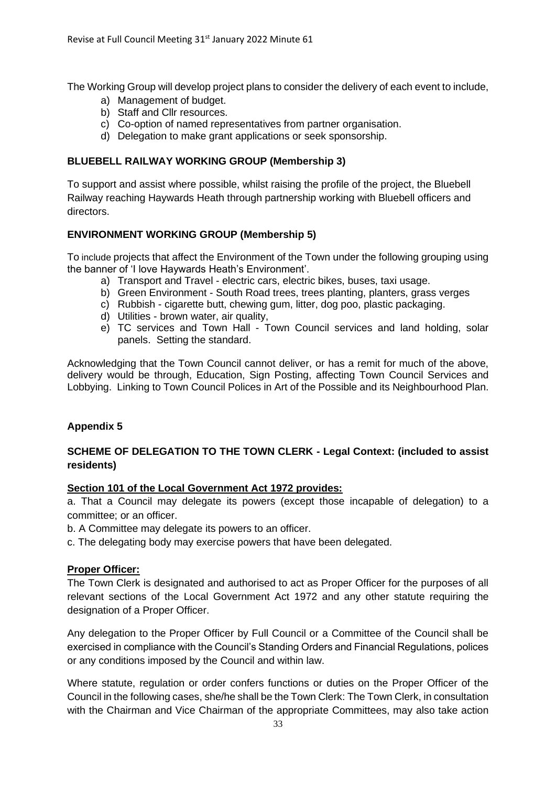The Working Group will develop project plans to consider the delivery of each event to include,

- a) Management of budget.
- b) Staff and Cllr resources.
- c) Co-option of named representatives from partner organisation.
- d) Delegation to make grant applications or seek sponsorship.

#### **BLUEBELL RAILWAY WORKING GROUP (Membership 3)**

To support and assist where possible, whilst raising the profile of the project, the Bluebell Railway reaching Haywards Heath through partnership working with Bluebell officers and directors.

# **ENVIRONMENT WORKING GROUP (Membership 5)**

To include projects that affect the Environment of the Town under the following grouping using the banner of 'I love Haywards Heath's Environment'.

- a) Transport and Travel electric cars, electric bikes, buses, taxi usage.
- b) Green Environment South Road trees, trees planting, planters, grass verges
- c) Rubbish cigarette butt, chewing gum, litter, dog poo, plastic packaging.
- d) Utilities brown water, air quality,
- e) TC services and Town Hall Town Council services and land holding, solar panels. Setting the standard.

Acknowledging that the Town Council cannot deliver, or has a remit for much of the above, delivery would be through, Education, Sign Posting, affecting Town Council Services and Lobbying. Linking to Town Council Polices in Art of the Possible and its Neighbourhood Plan.

# **Appendix 5**

# **SCHEME OF DELEGATION TO THE TOWN CLERK - Legal Context: (included to assist residents)**

#### **Section 101 of the Local Government Act 1972 provides:**

a. That a Council may delegate its powers (except those incapable of delegation) to a committee; or an officer.

- b. A Committee may delegate its powers to an officer.
- c. The delegating body may exercise powers that have been delegated.

# **Proper Officer:**

The Town Clerk is designated and authorised to act as Proper Officer for the purposes of all relevant sections of the Local Government Act 1972 and any other statute requiring the designation of a Proper Officer.

Any delegation to the Proper Officer by Full Council or a Committee of the Council shall be exercised in compliance with the Council's Standing Orders and Financial Regulations, polices or any conditions imposed by the Council and within law.

Where statute, regulation or order confers functions or duties on the Proper Officer of the Council in the following cases, she/he shall be the Town Clerk: The Town Clerk, in consultation with the Chairman and Vice Chairman of the appropriate Committees, may also take action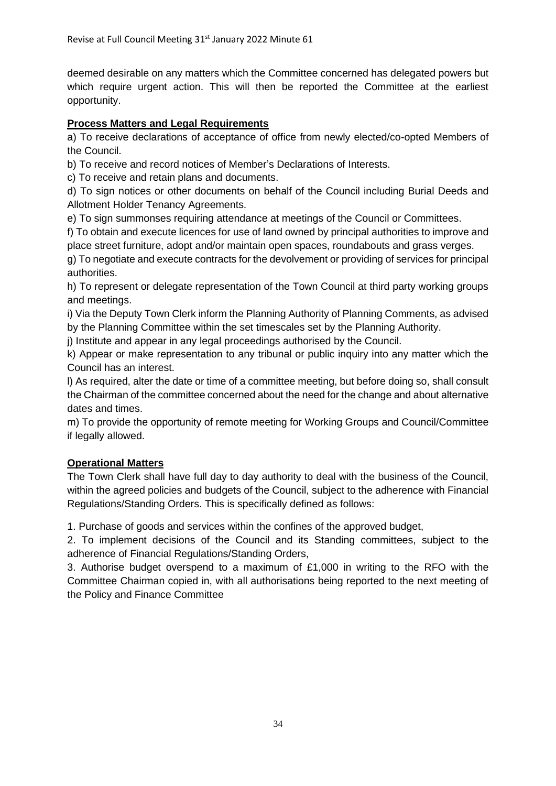deemed desirable on any matters which the Committee concerned has delegated powers but which require urgent action. This will then be reported the Committee at the earliest opportunity.

# **Process Matters and Legal Requirements**

a) To receive declarations of acceptance of office from newly elected/co-opted Members of the Council.

b) To receive and record notices of Member's Declarations of Interests.

c) To receive and retain plans and documents.

d) To sign notices or other documents on behalf of the Council including Burial Deeds and Allotment Holder Tenancy Agreements.

e) To sign summonses requiring attendance at meetings of the Council or Committees.

f) To obtain and execute licences for use of land owned by principal authorities to improve and place street furniture, adopt and/or maintain open spaces, roundabouts and grass verges.

g) To negotiate and execute contracts for the devolvement or providing of services for principal authorities.

h) To represent or delegate representation of the Town Council at third party working groups and meetings.

i) Via the Deputy Town Clerk inform the Planning Authority of Planning Comments, as advised by the Planning Committee within the set timescales set by the Planning Authority.

j) Institute and appear in any legal proceedings authorised by the Council.

k) Appear or make representation to any tribunal or public inquiry into any matter which the Council has an interest.

l) As required, alter the date or time of a committee meeting, but before doing so, shall consult the Chairman of the committee concerned about the need for the change and about alternative dates and times.

m) To provide the opportunity of remote meeting for Working Groups and Council/Committee if legally allowed.

# **Operational Matters**

The Town Clerk shall have full day to day authority to deal with the business of the Council, within the agreed policies and budgets of the Council, subject to the adherence with Financial Regulations/Standing Orders. This is specifically defined as follows:

1. Purchase of goods and services within the confines of the approved budget,

2. To implement decisions of the Council and its Standing committees, subject to the adherence of Financial Regulations/Standing Orders,

3. Authorise budget overspend to a maximum of £1,000 in writing to the RFO with the Committee Chairman copied in, with all authorisations being reported to the next meeting of the Policy and Finance Committee